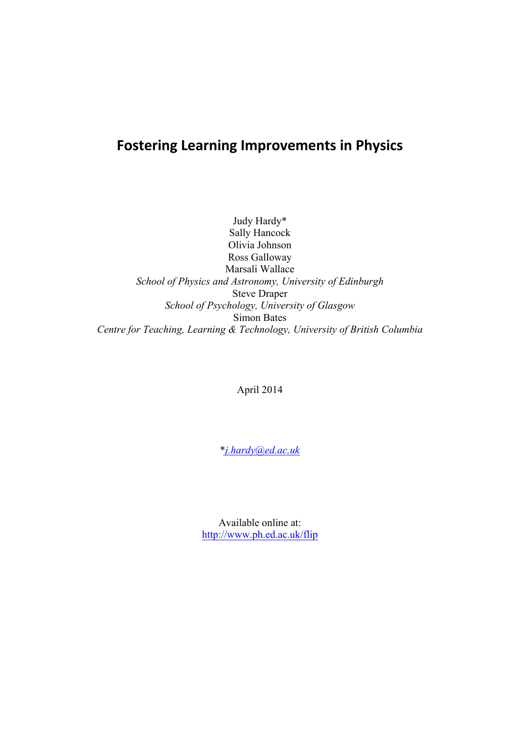# **Fostering Learning Improvements in Physics**

Judy Hardy\* Sally Hancock Olivia Johnson Ross Galloway Marsali Wallace *School of Physics and Astronomy, University of Edinburgh* Steve Draper *School of Psychology, University of Glasgow* Simon Bates *Centre for Teaching, Learning & Technology, University of British Columbia*

April 2014

\**j.hardy@ed.ac.uk*

Available online at: http://www.ph.ed.ac.uk/flip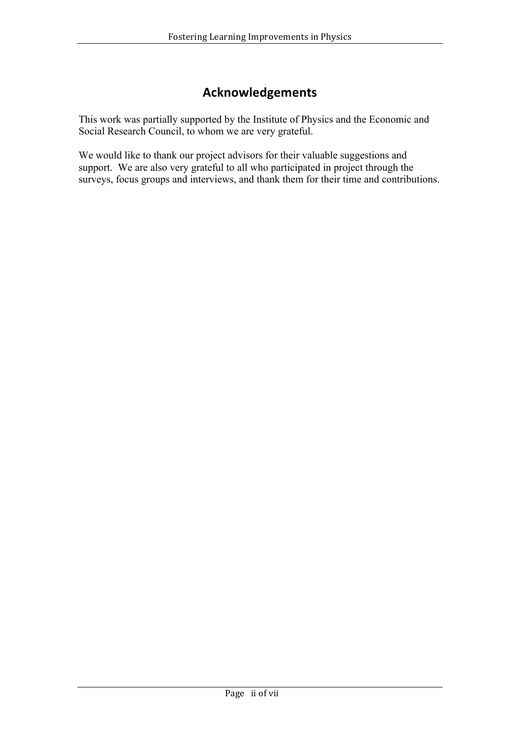# **Acknowledgements**

This work was partially supported by the Institute of Physics and the Economic and Social Research Council, to whom we are very grateful.

We would like to thank our project advisors for their valuable suggestions and support. We are also very grateful to all who participated in project through the surveys, focus groups and interviews, and thank them for their time and contributions.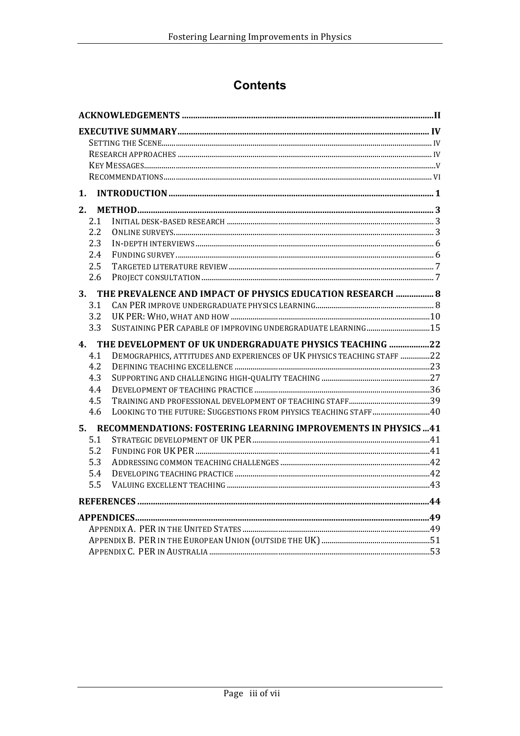# **Contents**

| 1.  |                                                                         |  |
|-----|-------------------------------------------------------------------------|--|
| 2.  |                                                                         |  |
| 2.1 |                                                                         |  |
| 2.2 |                                                                         |  |
| 2.3 |                                                                         |  |
| 2.4 |                                                                         |  |
| 2.5 |                                                                         |  |
| 2.6 |                                                                         |  |
|     | 3. THE PREVALENCE AND IMPACT OF PHYSICS EDUCATION RESEARCH  8           |  |
| 3.1 |                                                                         |  |
| 3.2 |                                                                         |  |
| 3.3 | SUSTAINING PER CAPABLE OF IMPROVING UNDERGRADUATE LEARNING 15           |  |
| 4.  | THE DEVELOPMENT OF UK UNDERGRADUATE PHYSICS TEACHING 22                 |  |
| 4.1 | DEMOGRAPHICS, ATTITUDES AND EXPERIENCES OF UK PHYSICS TEACHING STAFF 22 |  |
| 4.2 |                                                                         |  |
| 4.3 |                                                                         |  |
| 4.4 |                                                                         |  |
| 4.5 |                                                                         |  |
| 4.6 | LOOKING TO THE FUTURE: SUGGESTIONS FROM PHYSICS TEACHING STAFF40        |  |
|     | 5. RECOMMENDATIONS: FOSTERING LEARNING IMPROVEMENTS IN PHYSICS  41      |  |
| 5.1 |                                                                         |  |
| 5.2 |                                                                         |  |
| 5.3 |                                                                         |  |
| 5.4 |                                                                         |  |
| 5.5 |                                                                         |  |
|     |                                                                         |  |
|     |                                                                         |  |
|     |                                                                         |  |
|     |                                                                         |  |
|     |                                                                         |  |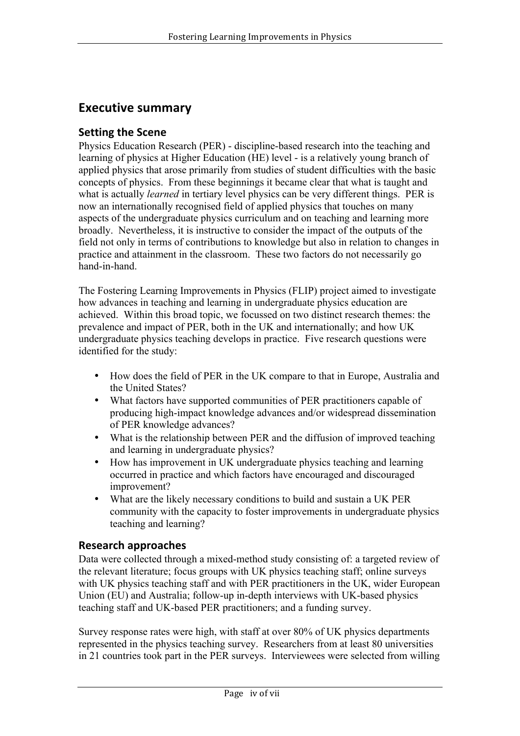## **Executive summary**

### **Setting the Scene**

Physics Education Research (PER) - discipline-based research into the teaching and learning of physics at Higher Education (HE) level - is a relatively young branch of applied physics that arose primarily from studies of student difficulties with the basic concepts of physics. From these beginnings it became clear that what is taught and what is actually *learned* in tertiary level physics can be very different things. PER is now an internationally recognised field of applied physics that touches on many aspects of the undergraduate physics curriculum and on teaching and learning more broadly. Nevertheless, it is instructive to consider the impact of the outputs of the field not only in terms of contributions to knowledge but also in relation to changes in practice and attainment in the classroom. These two factors do not necessarily go hand-in-hand.

The Fostering Learning Improvements in Physics (FLIP) project aimed to investigate how advances in teaching and learning in undergraduate physics education are achieved. Within this broad topic, we focussed on two distinct research themes: the prevalence and impact of PER, both in the UK and internationally; and how UK undergraduate physics teaching develops in practice. Five research questions were identified for the study:

- How does the field of PER in the UK compare to that in Europe, Australia and the United States?
- What factors have supported communities of PER practitioners capable of producing high-impact knowledge advances and/or widespread dissemination of PER knowledge advances?
- What is the relationship between PER and the diffusion of improved teaching and learning in undergraduate physics?
- How has improvement in UK undergraduate physics teaching and learning occurred in practice and which factors have encouraged and discouraged improvement?
- What are the likely necessary conditions to build and sustain a UK PER community with the capacity to foster improvements in undergraduate physics teaching and learning?

### **Research approaches**

Data were collected through a mixed-method study consisting of: a targeted review of the relevant literature; focus groups with UK physics teaching staff; online surveys with UK physics teaching staff and with PER practitioners in the UK, wider European Union (EU) and Australia; follow-up in-depth interviews with UK-based physics teaching staff and UK-based PER practitioners; and a funding survey.

Survey response rates were high, with staff at over 80% of UK physics departments represented in the physics teaching survey. Researchers from at least 80 universities in 21 countries took part in the PER surveys. Interviewees were selected from willing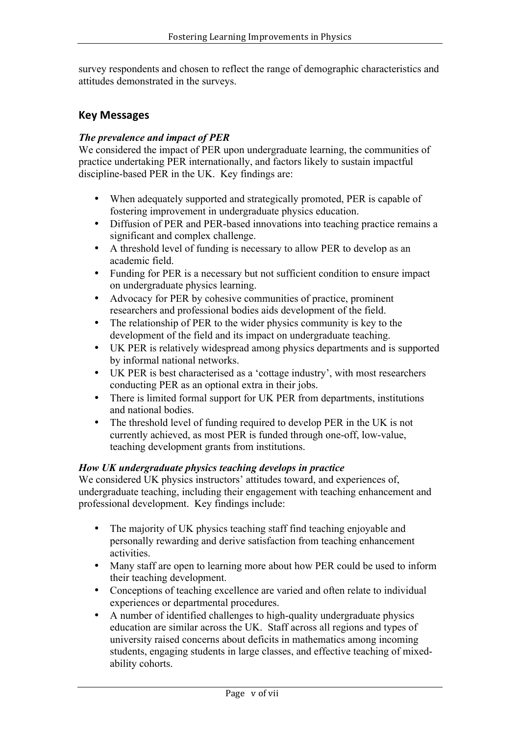survey respondents and chosen to reflect the range of demographic characteristics and attitudes demonstrated in the surveys.

## **Key Messages**

### *The prevalence and impact of PER*

We considered the impact of PER upon undergraduate learning, the communities of practice undertaking PER internationally, and factors likely to sustain impactful discipline-based PER in the UK. Key findings are:

- When adequately supported and strategically promoted, PER is capable of fostering improvement in undergraduate physics education.
- Diffusion of PER and PER-based innovations into teaching practice remains a significant and complex challenge.
- A threshold level of funding is necessary to allow PER to develop as an academic field.
- Funding for PER is a necessary but not sufficient condition to ensure impact on undergraduate physics learning.
- Advocacy for PER by cohesive communities of practice, prominent researchers and professional bodies aids development of the field.
- The relationship of PER to the wider physics community is key to the development of the field and its impact on undergraduate teaching.
- UK PER is relatively widespread among physics departments and is supported by informal national networks.
- UK PER is best characterised as a 'cottage industry', with most researchers conducting PER as an optional extra in their jobs.
- There is limited formal support for UK PER from departments, institutions and national bodies.
- The threshold level of funding required to develop PER in the UK is not currently achieved, as most PER is funded through one-off, low-value, teaching development grants from institutions.

### *How UK undergraduate physics teaching develops in practice*

We considered UK physics instructors' attitudes toward, and experiences of, undergraduate teaching, including their engagement with teaching enhancement and professional development. Key findings include:

- The majority of UK physics teaching staff find teaching enjoyable and personally rewarding and derive satisfaction from teaching enhancement activities.
- Many staff are open to learning more about how PER could be used to inform their teaching development.
- Conceptions of teaching excellence are varied and often relate to individual experiences or departmental procedures.
- A number of identified challenges to high-quality undergraduate physics education are similar across the UK. Staff across all regions and types of university raised concerns about deficits in mathematics among incoming students, engaging students in large classes, and effective teaching of mixedability cohorts.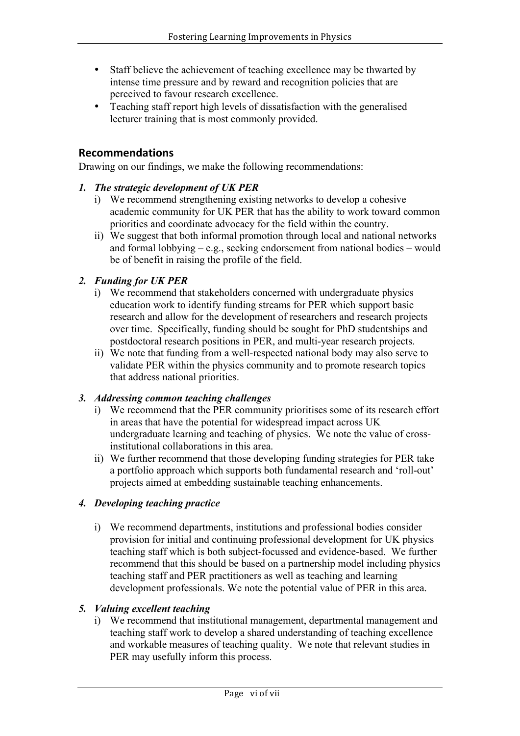- Staff believe the achievement of teaching excellence may be thwarted by intense time pressure and by reward and recognition policies that are perceived to favour research excellence.
- Teaching staff report high levels of dissatisfaction with the generalised lecturer training that is most commonly provided.

## **Recommendations**

Drawing on our findings, we make the following recommendations:

### *1. The strategic development of UK PER*

- i) We recommend strengthening existing networks to develop a cohesive academic community for UK PER that has the ability to work toward common priorities and coordinate advocacy for the field within the country.
- ii) We suggest that both informal promotion through local and national networks and formal lobbying – e.g., seeking endorsement from national bodies – would be of benefit in raising the profile of the field.

### *2. Funding for UK PER*

- i) We recommend that stakeholders concerned with undergraduate physics education work to identify funding streams for PER which support basic research and allow for the development of researchers and research projects over time. Specifically, funding should be sought for PhD studentships and postdoctoral research positions in PER, and multi-year research projects.
- ii) We note that funding from a well-respected national body may also serve to validate PER within the physics community and to promote research topics that address national priorities.

### *3. Addressing common teaching challenges*

- i) We recommend that the PER community prioritises some of its research effort in areas that have the potential for widespread impact across UK undergraduate learning and teaching of physics. We note the value of crossinstitutional collaborations in this area.
- ii) We further recommend that those developing funding strategies for PER take a portfolio approach which supports both fundamental research and 'roll-out' projects aimed at embedding sustainable teaching enhancements.

### *4. Developing teaching practice*

i) We recommend departments, institutions and professional bodies consider provision for initial and continuing professional development for UK physics teaching staff which is both subject-focussed and evidence-based. We further recommend that this should be based on a partnership model including physics teaching staff and PER practitioners as well as teaching and learning development professionals. We note the potential value of PER in this area.

### *5. Valuing excellent teaching*

i) We recommend that institutional management, departmental management and teaching staff work to develop a shared understanding of teaching excellence and workable measures of teaching quality. We note that relevant studies in PER may usefully inform this process.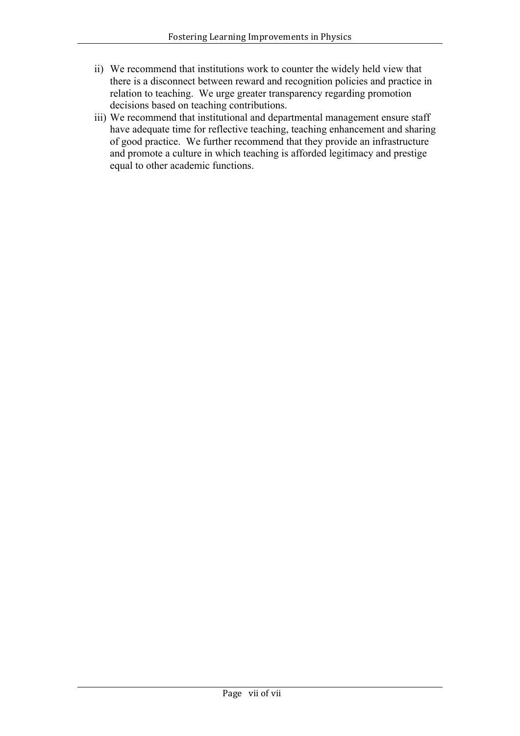- ii) We recommend that institutions work to counter the widely held view that there is a disconnect between reward and recognition policies and practice in relation to teaching. We urge greater transparency regarding promotion decisions based on teaching contributions.
- iii) We recommend that institutional and departmental management ensure staff have adequate time for reflective teaching, teaching enhancement and sharing of good practice. We further recommend that they provide an infrastructure and promote a culture in which teaching is afforded legitimacy and prestige equal to other academic functions.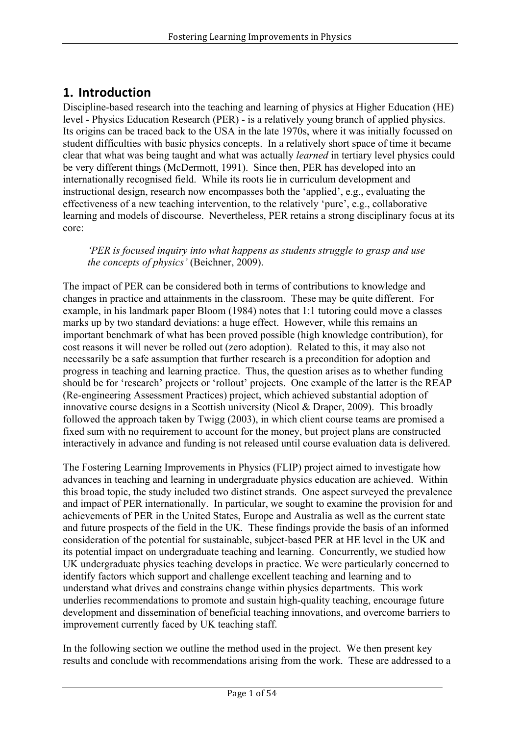# **1. Introduction**

Discipline-based research into the teaching and learning of physics at Higher Education (HE) level - Physics Education Research (PER) - is a relatively young branch of applied physics. Its origins can be traced back to the USA in the late 1970s, where it was initially focussed on student difficulties with basic physics concepts. In a relatively short space of time it became clear that what was being taught and what was actually *learned* in tertiary level physics could be very different things (McDermott, 1991). Since then, PER has developed into an internationally recognised field. While its roots lie in curriculum development and instructional design, research now encompasses both the 'applied', e.g., evaluating the effectiveness of a new teaching intervention, to the relatively 'pure', e.g., collaborative learning and models of discourse. Nevertheless, PER retains a strong disciplinary focus at its core:

*'PER is focused inquiry into what happens as students struggle to grasp and use the concepts of physics'* (Beichner, 2009).

The impact of PER can be considered both in terms of contributions to knowledge and changes in practice and attainments in the classroom. These may be quite different. For example, in his landmark paper Bloom (1984) notes that 1:1 tutoring could move a classes marks up by two standard deviations: a huge effect. However, while this remains an important benchmark of what has been proved possible (high knowledge contribution), for cost reasons it will never be rolled out (zero adoption). Related to this, it may also not necessarily be a safe assumption that further research is a precondition for adoption and progress in teaching and learning practice. Thus, the question arises as to whether funding should be for 'research' projects or 'rollout' projects. One example of the latter is the REAP (Re-engineering Assessment Practices) project, which achieved substantial adoption of innovative course designs in a Scottish university (Nicol & Draper, 2009). This broadly followed the approach taken by Twigg (2003), in which client course teams are promised a fixed sum with no requirement to account for the money, but project plans are constructed interactively in advance and funding is not released until course evaluation data is delivered.

The Fostering Learning Improvements in Physics (FLIP) project aimed to investigate how advances in teaching and learning in undergraduate physics education are achieved. Within this broad topic, the study included two distinct strands. One aspect surveyed the prevalence and impact of PER internationally. In particular, we sought to examine the provision for and achievements of PER in the United States, Europe and Australia as well as the current state and future prospects of the field in the UK. These findings provide the basis of an informed consideration of the potential for sustainable, subject-based PER at HE level in the UK and its potential impact on undergraduate teaching and learning. Concurrently, we studied how UK undergraduate physics teaching develops in practice. We were particularly concerned to identify factors which support and challenge excellent teaching and learning and to understand what drives and constrains change within physics departments. This work underlies recommendations to promote and sustain high-quality teaching, encourage future development and dissemination of beneficial teaching innovations, and overcome barriers to improvement currently faced by UK teaching staff.

In the following section we outline the method used in the project. We then present key results and conclude with recommendations arising from the work. These are addressed to a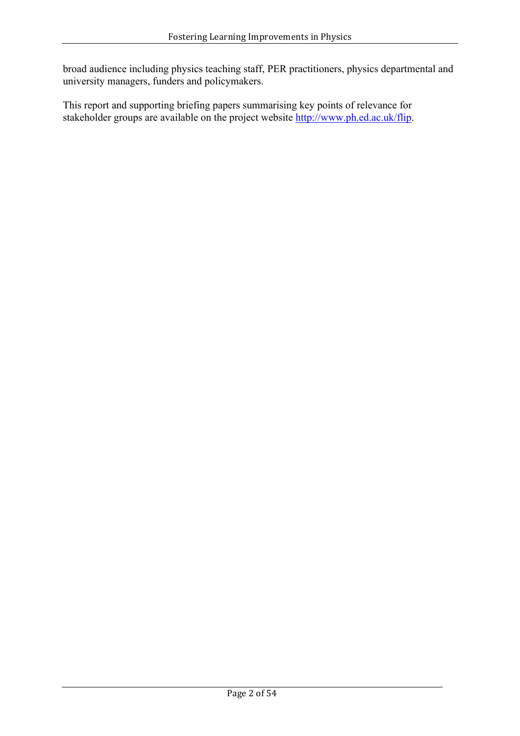broad audience including physics teaching staff, PER practitioners, physics departmental and university managers, funders and policymakers.

This report and supporting briefing papers summarising key points of relevance for stakeholder groups are available on the project website http://www.ph.ed.ac.uk/flip.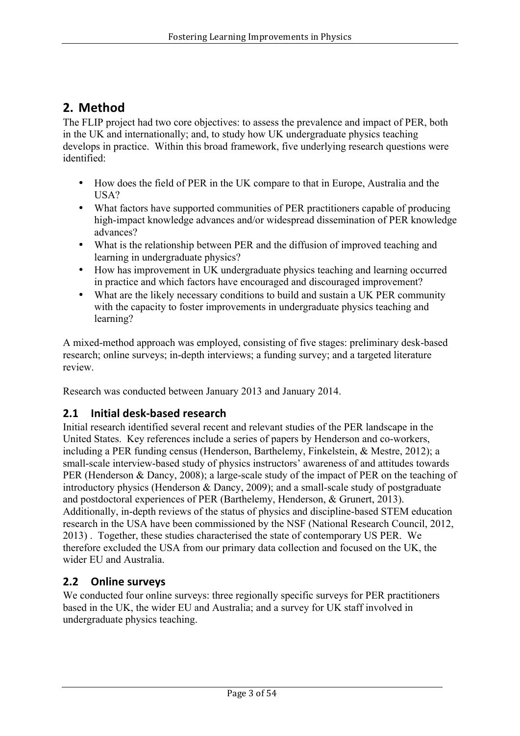# **2. Method**

The FLIP project had two core objectives: to assess the prevalence and impact of PER, both in the UK and internationally; and, to study how UK undergraduate physics teaching develops in practice. Within this broad framework, five underlying research questions were identified:

- How does the field of PER in the UK compare to that in Europe, Australia and the USA?
- What factors have supported communities of PER practitioners capable of producing high-impact knowledge advances and/or widespread dissemination of PER knowledge advances?
- What is the relationship between PER and the diffusion of improved teaching and learning in undergraduate physics?
- How has improvement in UK undergraduate physics teaching and learning occurred in practice and which factors have encouraged and discouraged improvement?
- What are the likely necessary conditions to build and sustain a UK PER community with the capacity to foster improvements in undergraduate physics teaching and learning?

A mixed-method approach was employed, consisting of five stages: preliminary desk-based research; online surveys; in-depth interviews; a funding survey; and a targeted literature review.

Research was conducted between January 2013 and January 2014.

## **2.1 Initial desk-based research**

Initial research identified several recent and relevant studies of the PER landscape in the United States. Key references include a series of papers by Henderson and co-workers, including a PER funding census (Henderson, Barthelemy, Finkelstein, & Mestre, 2012); a small-scale interview-based study of physics instructors' awareness of and attitudes towards PER (Henderson & Dancy, 2008); a large-scale study of the impact of PER on the teaching of introductory physics (Henderson & Dancy, 2009); and a small-scale study of postgraduate and postdoctoral experiences of PER (Barthelemy, Henderson, & Grunert, 2013). Additionally, in-depth reviews of the status of physics and discipline-based STEM education research in the USA have been commissioned by the NSF (National Research Council, 2012, 2013) . Together, these studies characterised the state of contemporary US PER. We therefore excluded the USA from our primary data collection and focused on the UK, the wider EU and Australia.

## **2.2 Online surveys**

We conducted four online surveys: three regionally specific surveys for PER practitioners based in the UK, the wider EU and Australia; and a survey for UK staff involved in undergraduate physics teaching.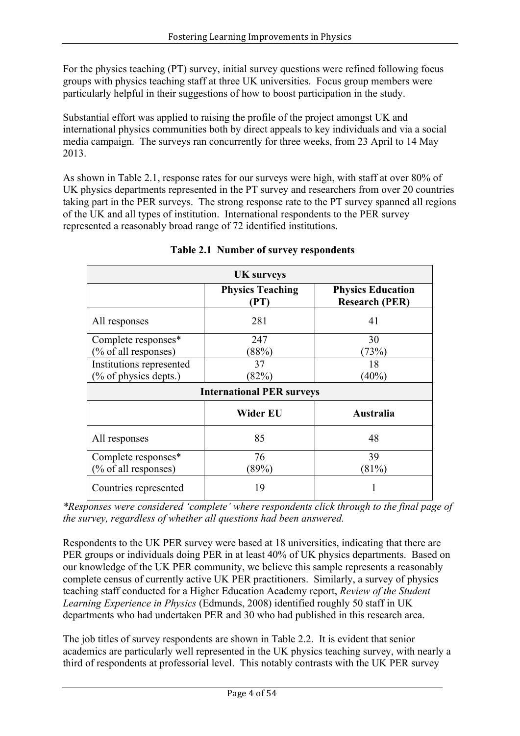For the physics teaching (PT) survey, initial survey questions were refined following focus groups with physics teaching staff at three UK universities. Focus group members were particularly helpful in their suggestions of how to boost participation in the study.

Substantial effort was applied to raising the profile of the project amongst UK and international physics communities both by direct appeals to key individuals and via a social media campaign. The surveys ran concurrently for three weeks, from 23 April to 14 May 2013.

As shown in Table 2.1, response rates for our surveys were high, with staff at over 80% of UK physics departments represented in the PT survey and researchers from over 20 countries taking part in the PER surveys. The strong response rate to the PT survey spanned all regions of the UK and all types of institution. International respondents to the PER survey represented a reasonably broad range of 72 identified institutions.

| <b>UK</b> surveys        |                                  |                                                   |  |  |
|--------------------------|----------------------------------|---------------------------------------------------|--|--|
|                          | <b>Physics Teaching</b><br>(PT)  | <b>Physics Education</b><br><b>Research (PER)</b> |  |  |
| All responses            | 281                              | 41                                                |  |  |
| Complete responses*      | 247                              | 30                                                |  |  |
| (% of all responses)     | (88%)                            | (73%)                                             |  |  |
| Institutions represented | 37                               | 18                                                |  |  |
| $(\%$ of physics depts.) | (82%)                            | $(40\%)$                                          |  |  |
|                          | <b>International PER surveys</b> |                                                   |  |  |
|                          | Wider EU                         | <b>Australia</b>                                  |  |  |
| All responses            | 85                               | 48                                                |  |  |
| Complete responses*      | 76                               | 39                                                |  |  |
| (% of all responses)     | (89%)                            | (81%)                                             |  |  |
| Countries represented    | 19                               |                                                   |  |  |

## **Table 2.1 Number of survey respondents**

*\*Responses were considered 'complete' where respondents click through to the final page of the survey, regardless of whether all questions had been answered.*

Respondents to the UK PER survey were based at 18 universities, indicating that there are PER groups or individuals doing PER in at least 40% of UK physics departments. Based on our knowledge of the UK PER community, we believe this sample represents a reasonably complete census of currently active UK PER practitioners. Similarly, a survey of physics teaching staff conducted for a Higher Education Academy report, *Review of the Student Learning Experience in Physics* (Edmunds, 2008) identified roughly 50 staff in UK departments who had undertaken PER and 30 who had published in this research area.

The job titles of survey respondents are shown in Table 2.2. It is evident that senior academics are particularly well represented in the UK physics teaching survey, with nearly a third of respondents at professorial level. This notably contrasts with the UK PER survey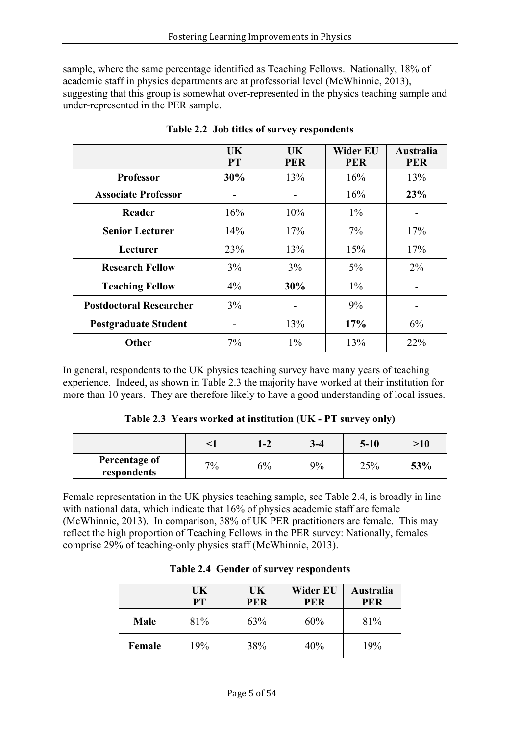sample, where the same percentage identified as Teaching Fellows. Nationally, 18% of academic staff in physics departments are at professorial level (McWhinnie, 2013), suggesting that this group is somewhat over-represented in the physics teaching sample and under-represented in the PER sample.

|                                | UK<br><b>PT</b> | UK.<br><b>PER</b> | <b>Wider EU</b><br><b>PER</b> | <b>Australia</b><br><b>PER</b> |
|--------------------------------|-----------------|-------------------|-------------------------------|--------------------------------|
| <b>Professor</b>               | 30%             | 13%               | 16%                           | 13%                            |
| <b>Associate Professor</b>     |                 |                   | 16%                           | 23%                            |
| Reader                         | 16%             | 10%               | $1\%$                         |                                |
| <b>Senior Lecturer</b>         | 14%             | 17%               | 7%                            | 17%                            |
| Lecturer                       | 23%             | 13%               | 15%                           | 17%                            |
| <b>Research Fellow</b>         | 3%              | 3%                | $5\%$                         | $2\%$                          |
| <b>Teaching Fellow</b>         | $4\%$           | 30%               | $1\%$                         |                                |
| <b>Postdoctoral Researcher</b> | 3%              |                   | 9%                            |                                |
| <b>Postgraduate Student</b>    |                 | 13%               | 17%                           | 6%                             |
| <b>Other</b>                   | $7\%$           | $1\%$             | 13%                           | 22%                            |

**Table 2.2 Job titles of survey respondents**

In general, respondents to the UK physics teaching survey have many years of teaching experience. Indeed, as shown in Table 2.3 the majority have worked at their institution for more than 10 years. They are therefore likely to have a good understanding of local issues.

**Table 2.3 Years worked at institution (UK - PT survey only)**

|                              |    | $1-2$ | $3 - 4$ | $5 - 10$ | >10 |
|------------------------------|----|-------|---------|----------|-----|
| Percentage of<br>respondents | 7% | 6%    | 9%      | 25%      | 53% |

Female representation in the UK physics teaching sample, see Table 2.4, is broadly in line with national data, which indicate that 16% of physics academic staff are female (McWhinnie, 2013). In comparison, 38% of UK PER practitioners are female. This may reflect the high proportion of Teaching Fellows in the PER survey: Nationally, females comprise 29% of teaching-only physics staff (McWhinnie, 2013).

|        | <b>UK</b><br><b>PT</b> | UK<br><b>PER</b> | <b>Wider EU</b><br><b>PER</b> | Australia<br><b>PER</b> |
|--------|------------------------|------------------|-------------------------------|-------------------------|
| Male   | 81%                    | 63%              | 60%                           | 81%                     |
| Female | 19%                    | 38%              | 40%                           | 19%                     |

### **Table 2.4 Gender of survey respondents**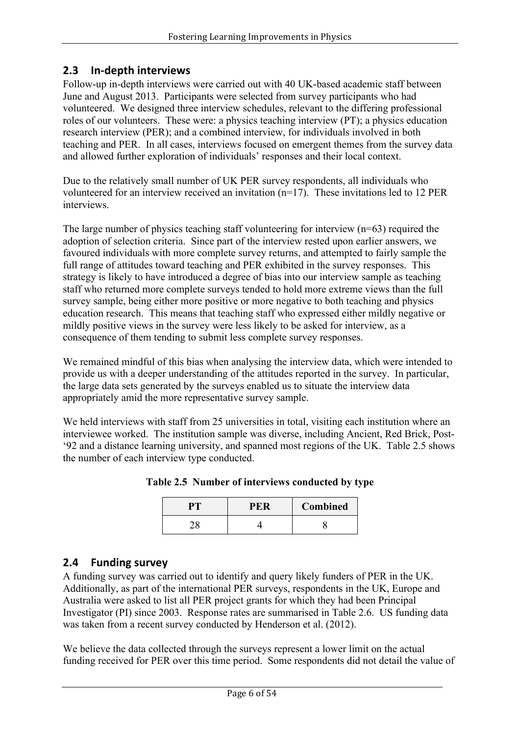## **2.3 In-depth interviews**

Follow-up in-depth interviews were carried out with 40 UK-based academic staff between June and August 2013. Participants were selected from survey participants who had volunteered. We designed three interview schedules, relevant to the differing professional roles of our volunteers. These were: a physics teaching interview (PT); a physics education research interview (PER); and a combined interview, for individuals involved in both teaching and PER. In all cases, interviews focused on emergent themes from the survey data and allowed further exploration of individuals' responses and their local context.

Due to the relatively small number of UK PER survey respondents, all individuals who volunteered for an interview received an invitation (n=17). These invitations led to 12 PER interviews.

The large number of physics teaching staff volunteering for interview (n=63) required the adoption of selection criteria. Since part of the interview rested upon earlier answers, we favoured individuals with more complete survey returns, and attempted to fairly sample the full range of attitudes toward teaching and PER exhibited in the survey responses. This strategy is likely to have introduced a degree of bias into our interview sample as teaching staff who returned more complete surveys tended to hold more extreme views than the full survey sample, being either more positive or more negative to both teaching and physics education research. This means that teaching staff who expressed either mildly negative or mildly positive views in the survey were less likely to be asked for interview, as a consequence of them tending to submit less complete survey responses.

We remained mindful of this bias when analysing the interview data, which were intended to provide us with a deeper understanding of the attitudes reported in the survey. In particular, the large data sets generated by the surveys enabled us to situate the interview data appropriately amid the more representative survey sample.

We held interviews with staff from 25 universities in total, visiting each institution where an interviewee worked. The institution sample was diverse, including Ancient, Red Brick, Post- '92 and a distance learning university, and spanned most regions of the UK. Table 2.5 shows the number of each interview type conducted.

| <b>PER</b> | Combined |
|------------|----------|
|            |          |

**Table 2.5 Number of interviews conducted by type**

## **2.4 Funding survey**

A funding survey was carried out to identify and query likely funders of PER in the UK. Additionally, as part of the international PER surveys, respondents in the UK, Europe and Australia were asked to list all PER project grants for which they had been Principal Investigator (PI) since 2003. Response rates are summarised in Table 2.6. US funding data was taken from a recent survey conducted by Henderson et al. (2012).

We believe the data collected through the surveys represent a lower limit on the actual funding received for PER over this time period. Some respondents did not detail the value of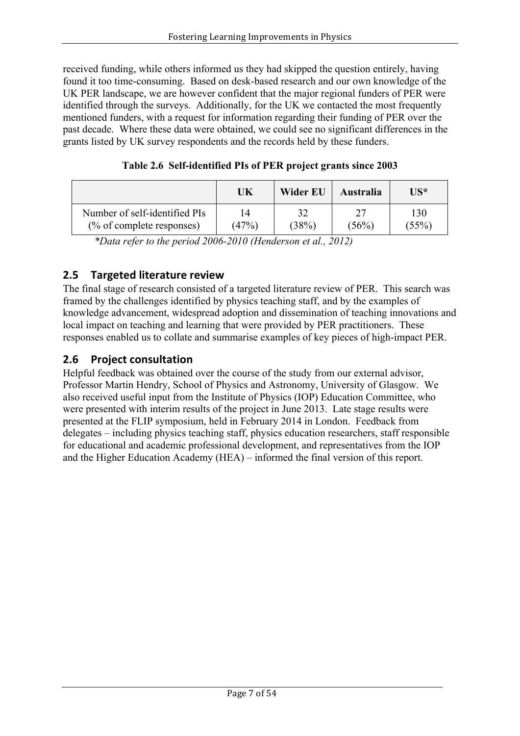received funding, while others informed us they had skipped the question entirely, having found it too time-consuming. Based on desk-based research and our own knowledge of the UK PER landscape, we are however confident that the major regional funders of PER were identified through the surveys. Additionally, for the UK we contacted the most frequently mentioned funders, with a request for information regarding their funding of PER over the past decade. Where these data were obtained, we could see no significant differences in the grants listed by UK survey respondents and the records held by these funders.

|                               | UK    | Wider EU | <b>Australia</b> | IIS*  |
|-------------------------------|-------|----------|------------------|-------|
| Number of self-identified PIs | 14    | 32       | (56%)            | 130   |
| $(\%$ of complete responses)  | (47%) | (38%)    |                  | (55%) |

**Table 2.6 Self-identified PIs of PER project grants since 2003**

*\*Data refer to the period 2006-2010 (Henderson et al., 2012)*

## **2.5 Targeted literature review**

The final stage of research consisted of a targeted literature review of PER. This search was framed by the challenges identified by physics teaching staff, and by the examples of knowledge advancement, widespread adoption and dissemination of teaching innovations and local impact on teaching and learning that were provided by PER practitioners. These responses enabled us to collate and summarise examples of key pieces of high-impact PER.

## **2.6** Project consultation

Helpful feedback was obtained over the course of the study from our external advisor, Professor Martin Hendry, School of Physics and Astronomy, University of Glasgow. We also received useful input from the Institute of Physics (IOP) Education Committee, who were presented with interim results of the project in June 2013. Late stage results were presented at the FLIP symposium, held in February 2014 in London. Feedback from delegates – including physics teaching staff, physics education researchers, staff responsible for educational and academic professional development, and representatives from the IOP and the Higher Education Academy (HEA) – informed the final version of this report.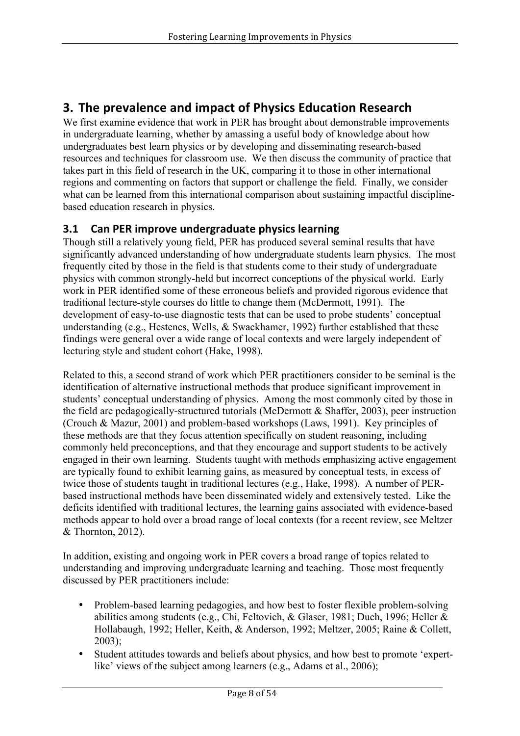# **3. The prevalence and impact of Physics Education Research**

We first examine evidence that work in PER has brought about demonstrable improvements in undergraduate learning, whether by amassing a useful body of knowledge about how undergraduates best learn physics or by developing and disseminating research-based resources and techniques for classroom use. We then discuss the community of practice that takes part in this field of research in the UK, comparing it to those in other international regions and commenting on factors that support or challenge the field. Finally, we consider what can be learned from this international comparison about sustaining impactful disciplinebased education research in physics.

## **3.1 Can PER improve undergraduate physics learning**

Though still a relatively young field, PER has produced several seminal results that have significantly advanced understanding of how undergraduate students learn physics. The most frequently cited by those in the field is that students come to their study of undergraduate physics with common strongly-held but incorrect conceptions of the physical world. Early work in PER identified some of these erroneous beliefs and provided rigorous evidence that traditional lecture-style courses do little to change them (McDermott, 1991). The development of easy-to-use diagnostic tests that can be used to probe students' conceptual understanding (e.g., Hestenes, Wells, & Swackhamer, 1992) further established that these findings were general over a wide range of local contexts and were largely independent of lecturing style and student cohort (Hake, 1998).

Related to this, a second strand of work which PER practitioners consider to be seminal is the identification of alternative instructional methods that produce significant improvement in students' conceptual understanding of physics. Among the most commonly cited by those in the field are pedagogically-structured tutorials (McDermott & Shaffer, 2003), peer instruction (Crouch & Mazur, 2001) and problem-based workshops (Laws, 1991). Key principles of these methods are that they focus attention specifically on student reasoning, including commonly held preconceptions, and that they encourage and support students to be actively engaged in their own learning. Students taught with methods emphasizing active engagement are typically found to exhibit learning gains, as measured by conceptual tests, in excess of twice those of students taught in traditional lectures (e.g., Hake, 1998). A number of PERbased instructional methods have been disseminated widely and extensively tested. Like the deficits identified with traditional lectures, the learning gains associated with evidence-based methods appear to hold over a broad range of local contexts (for a recent review, see Meltzer & Thornton, 2012).

In addition, existing and ongoing work in PER covers a broad range of topics related to understanding and improving undergraduate learning and teaching. Those most frequently discussed by PER practitioners include:

- Problem-based learning pedagogies, and how best to foster flexible problem-solving abilities among students (e.g., Chi, Feltovich, & Glaser, 1981; Duch, 1996; Heller & Hollabaugh, 1992; Heller, Keith, & Anderson, 1992; Meltzer, 2005; Raine & Collett, 2003);
- Student attitudes towards and beliefs about physics, and how best to promote 'expertlike' views of the subject among learners (e.g., Adams et al., 2006);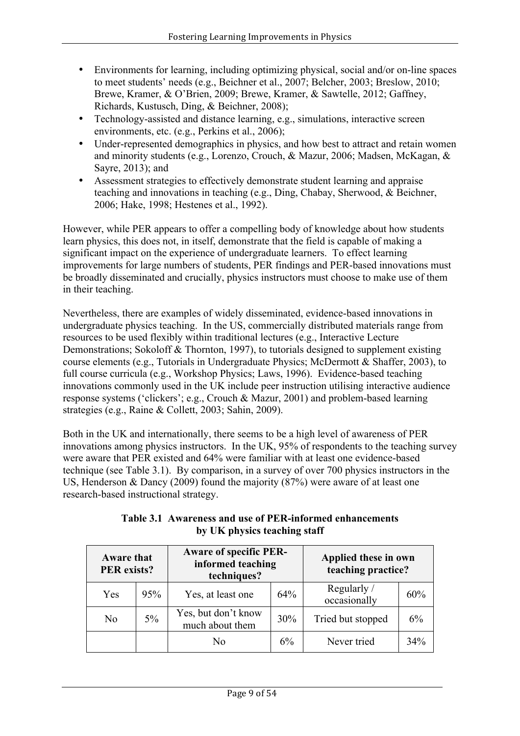- Environments for learning, including optimizing physical, social and/or on-line spaces to meet students' needs (e.g., Beichner et al., 2007; Belcher, 2003; Breslow, 2010; Brewe, Kramer, & O'Brien, 2009; Brewe, Kramer, & Sawtelle, 2012; Gaffney, Richards, Kustusch, Ding, & Beichner, 2008);
- Technology-assisted and distance learning, e.g., simulations, interactive screen environments, etc. (e.g., Perkins et al., 2006);
- Under-represented demographics in physics, and how best to attract and retain women and minority students (e.g., Lorenzo, Crouch, & Mazur, 2006; Madsen, McKagan, & Sayre, 2013); and
- Assessment strategies to effectively demonstrate student learning and appraise teaching and innovations in teaching (e.g., Ding, Chabay, Sherwood, & Beichner, 2006; Hake, 1998; Hestenes et al., 1992).

However, while PER appears to offer a compelling body of knowledge about how students learn physics, this does not, in itself, demonstrate that the field is capable of making a significant impact on the experience of undergraduate learners. To effect learning improvements for large numbers of students, PER findings and PER-based innovations must be broadly disseminated and crucially, physics instructors must choose to make use of them in their teaching.

Nevertheless, there are examples of widely disseminated, evidence-based innovations in undergraduate physics teaching. In the US, commercially distributed materials range from resources to be used flexibly within traditional lectures (e.g., Interactive Lecture Demonstrations; Sokoloff & Thornton, 1997), to tutorials designed to supplement existing course elements (e.g., Tutorials in Undergraduate Physics; McDermott & Shaffer, 2003), to full course curricula (e.g., Workshop Physics; Laws, 1996). Evidence-based teaching innovations commonly used in the UK include peer instruction utilising interactive audience response systems ('clickers'; e.g., Crouch & Mazur, 2001) and problem-based learning strategies (e.g., Raine & Collett, 2003; Sahin, 2009).

Both in the UK and internationally, there seems to be a high level of awareness of PER innovations among physics instructors. In the UK, 95% of respondents to the teaching survey were aware that PER existed and 64% were familiar with at least one evidence-based technique (see Table 3.1). By comparison, in a survey of over 700 physics instructors in the US, Henderson & Dancy (2009) found the majority (87%) were aware of at least one research-based instructional strategy.

| <b>Aware that</b><br><b>PER</b> exists? |                                              | <b>Aware of specific PER-</b><br>informed teaching<br>techniques? |     | Applied these in own<br>teaching practice? |     |
|-----------------------------------------|----------------------------------------------|-------------------------------------------------------------------|-----|--------------------------------------------|-----|
| Yes                                     | 95%                                          | Yes, at least one                                                 | 64% | Regularly /<br>occasionally                | 60% |
| No                                      | Yes, but don't know<br>5%<br>much about them |                                                                   | 30% | Tried but stopped                          | 6%  |
|                                         |                                              | No                                                                | 6%  | Never tried                                | 34% |

### **Table 3.1 Awareness and use of PER-informed enhancements by UK physics teaching staff**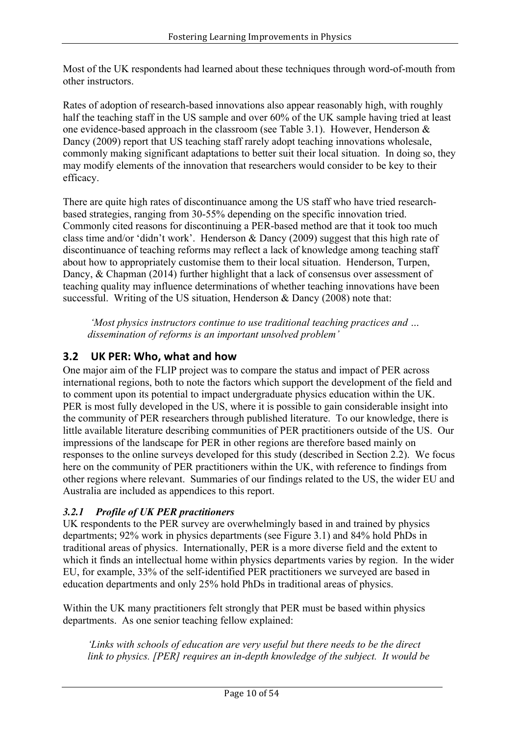Most of the UK respondents had learned about these techniques through word-of-mouth from other instructors.

Rates of adoption of research-based innovations also appear reasonably high, with roughly half the teaching staff in the US sample and over 60% of the UK sample having tried at least one evidence-based approach in the classroom (see Table 3.1). However, Henderson & Dancy (2009) report that US teaching staff rarely adopt teaching innovations wholesale, commonly making significant adaptations to better suit their local situation. In doing so, they may modify elements of the innovation that researchers would consider to be key to their efficacy.

There are quite high rates of discontinuance among the US staff who have tried researchbased strategies, ranging from 30-55% depending on the specific innovation tried. Commonly cited reasons for discontinuing a PER-based method are that it took too much class time and/or 'didn't work'. Henderson & Dancy (2009) suggest that this high rate of discontinuance of teaching reforms may reflect a lack of knowledge among teaching staff about how to appropriately customise them to their local situation. Henderson, Turpen, Dancy, & Chapman (2014) further highlight that a lack of consensus over assessment of teaching quality may influence determinations of whether teaching innovations have been successful. Writing of the US situation, Henderson & Dancy (2008) note that:

*'Most physics instructors continue to use traditional teaching practices and … dissemination of reforms is an important unsolved problem'*

## **3.2 UK PER: Who, what and how**

One major aim of the FLIP project was to compare the status and impact of PER across international regions, both to note the factors which support the development of the field and to comment upon its potential to impact undergraduate physics education within the UK. PER is most fully developed in the US, where it is possible to gain considerable insight into the community of PER researchers through published literature. To our knowledge, there is little available literature describing communities of PER practitioners outside of the US. Our impressions of the landscape for PER in other regions are therefore based mainly on responses to the online surveys developed for this study (described in Section 2.2). We focus here on the community of PER practitioners within the UK, with reference to findings from other regions where relevant. Summaries of our findings related to the US, the wider EU and Australia are included as appendices to this report.

### *3.2.1 Profile of UK PER practitioners*

UK respondents to the PER survey are overwhelmingly based in and trained by physics departments; 92% work in physics departments (see Figure 3.1) and 84% hold PhDs in traditional areas of physics. Internationally, PER is a more diverse field and the extent to which it finds an intellectual home within physics departments varies by region. In the wider EU, for example, 33% of the self-identified PER practitioners we surveyed are based in education departments and only 25% hold PhDs in traditional areas of physics.

Within the UK many practitioners felt strongly that PER must be based within physics departments. As one senior teaching fellow explained:

*'Links with schools of education are very useful but there needs to be the direct link to physics. [PER] requires an in-depth knowledge of the subject. It would be*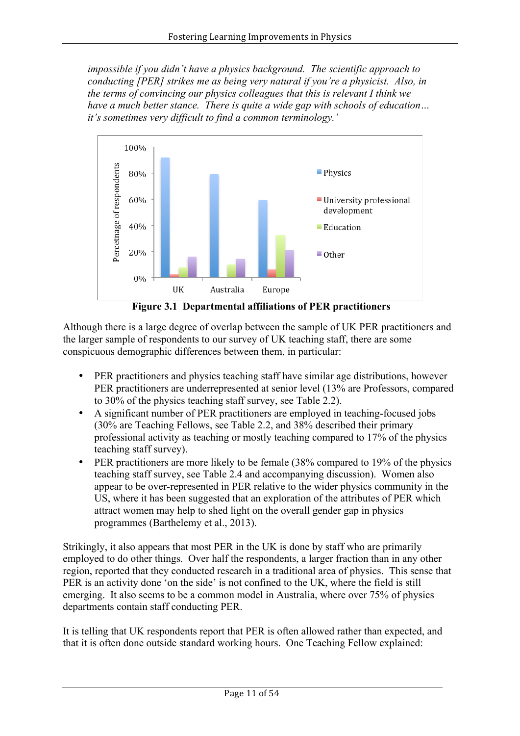*impossible if you didn't have a physics background. The scientific approach to conducting [PER] strikes me as being very natural if you're a physicist. Also, in the terms of convincing our physics colleagues that this is relevant I think we have a much better stance. There is quite a wide gap with schools of education… it's sometimes very difficult to find a common terminology.'*



**Figure 3.1 Departmental affiliations of PER practitioners**

Although there is a large degree of overlap between the sample of UK PER practitioners and the larger sample of respondents to our survey of UK teaching staff, there are some conspicuous demographic differences between them, in particular:

- PER practitioners and physics teaching staff have similar age distributions, however PER practitioners are underrepresented at senior level (13% are Professors, compared to 30% of the physics teaching staff survey, see Table 2.2).
- A significant number of PER practitioners are employed in teaching-focused jobs (30% are Teaching Fellows, see Table 2.2, and 38% described their primary professional activity as teaching or mostly teaching compared to 17% of the physics teaching staff survey).
- PER practitioners are more likely to be female (38% compared to 19% of the physics teaching staff survey, see Table 2.4 and accompanying discussion). Women also appear to be over-represented in PER relative to the wider physics community in the US, where it has been suggested that an exploration of the attributes of PER which attract women may help to shed light on the overall gender gap in physics programmes (Barthelemy et al., 2013).

Strikingly, it also appears that most PER in the UK is done by staff who are primarily employed to do other things. Over half the respondents, a larger fraction than in any other region, reported that they conducted research in a traditional area of physics. This sense that PER is an activity done 'on the side' is not confined to the UK, where the field is still emerging. It also seems to be a common model in Australia, where over 75% of physics departments contain staff conducting PER.

It is telling that UK respondents report that PER is often allowed rather than expected, and that it is often done outside standard working hours. One Teaching Fellow explained: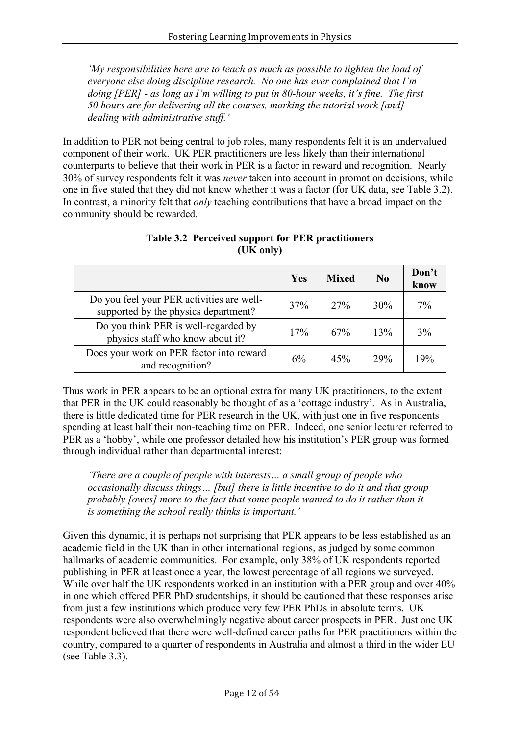*'My responsibilities here are to teach as much as possible to lighten the load of everyone else doing discipline research. No one has ever complained that I'm doing [PER] - as long as I'm willing to put in 80-hour weeks, it's fine. The first 50 hours are for delivering all the courses, marking the tutorial work [and] dealing with administrative stuff.'*

In addition to PER not being central to job roles, many respondents felt it is an undervalued component of their work. UK PER practitioners are less likely than their international counterparts to believe that their work in PER is a factor in reward and recognition. Nearly 30% of survey respondents felt it was *never* taken into account in promotion decisions, while one in five stated that they did not know whether it was a factor (for UK data, see Table 3.2). In contrast, a minority felt that *only* teaching contributions that have a broad impact on the community should be rewarded.

|                                                                                   | Yes | <b>Mixed</b> | No         | Don't<br>know |
|-----------------------------------------------------------------------------------|-----|--------------|------------|---------------|
| Do you feel your PER activities are well-<br>supported by the physics department? | 37% | 27%          | 30%        | 7%            |
| Do you think PER is well-regarded by<br>physics staff who know about it?          | 17% | 67%          | 13%        | 3%            |
| Does your work on PER factor into reward<br>and recognition?                      | 6%  | 45%          | <b>29%</b> | 19%           |

**Table 3.2 Perceived support for PER practitioners (UK only)**

Thus work in PER appears to be an optional extra for many UK practitioners, to the extent that PER in the UK could reasonably be thought of as a 'cottage industry'. As in Australia, there is little dedicated time for PER research in the UK, with just one in five respondents spending at least half their non-teaching time on PER. Indeed, one senior lecturer referred to PER as a 'hobby', while one professor detailed how his institution's PER group was formed through individual rather than departmental interest:

*'There are a couple of people with interests… a small group of people who occasionally discuss things… [but] there is little incentive to do it and that group probably [owes] more to the fact that some people wanted to do it rather than it is something the school really thinks is important.'*

Given this dynamic, it is perhaps not surprising that PER appears to be less established as an academic field in the UK than in other international regions, as judged by some common hallmarks of academic communities. For example, only 38% of UK respondents reported publishing in PER at least once a year, the lowest percentage of all regions we surveyed. While over half the UK respondents worked in an institution with a PER group and over  $40\%$ in one which offered PER PhD studentships, it should be cautioned that these responses arise from just a few institutions which produce very few PER PhDs in absolute terms. UK respondents were also overwhelmingly negative about career prospects in PER. Just one UK respondent believed that there were well-defined career paths for PER practitioners within the country, compared to a quarter of respondents in Australia and almost a third in the wider EU (see Table 3.3).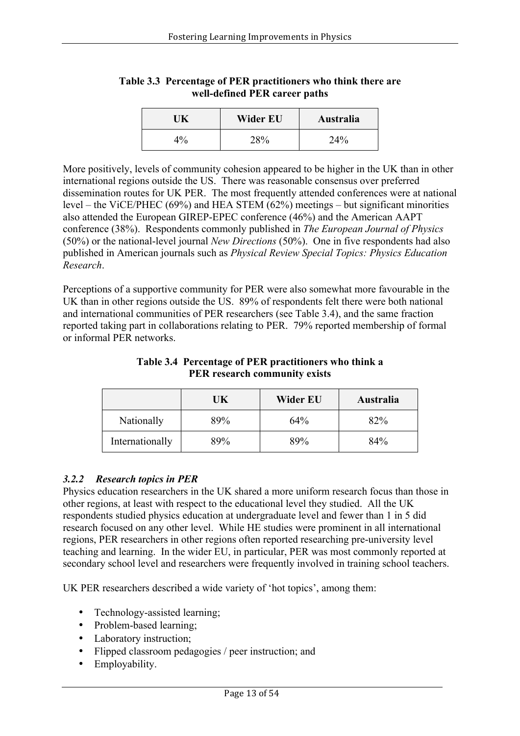| TK    | Wider EU | Australia |
|-------|----------|-----------|
| $4\%$ | 28%      | 24%       |

### **Table 3.3 Percentage of PER practitioners who think there are well-defined PER career paths**

More positively, levels of community cohesion appeared to be higher in the UK than in other international regions outside the US. There was reasonable consensus over preferred dissemination routes for UK PER. The most frequently attended conferences were at national level – the ViCE/PHEC (69%) and HEA STEM (62%) meetings – but significant minorities also attended the European GIREP-EPEC conference (46%) and the American AAPT conference (38%). Respondents commonly published in *The European Journal of Physics* (50%) or the national-level journal *New Directions* (50%). One in five respondents had also published in American journals such as *Physical Review Special Topics: Physics Education Research*.

Perceptions of a supportive community for PER were also somewhat more favourable in the UK than in other regions outside the US. 89% of respondents felt there were both national and international communities of PER researchers (see Table 3.4), and the same fraction reported taking part in collaborations relating to PER. 79% reported membership of formal or informal PER networks.

| Table 9.4 Telechtage of TER practitioners who think a<br><b>PER</b> research community exists |
|-----------------------------------------------------------------------------------------------|
|                                                                                               |

**Table 3.4 Percentage of PER practitioners who think a** 

|                 | UK. | Wider EU | Australia |
|-----------------|-----|----------|-----------|
| Nationally      | 89% | 64%      | 82%       |
| Internationally | 89% | 89%      | 84%       |

### *3.2.2 Research topics in PER*

Physics education researchers in the UK shared a more uniform research focus than those in other regions, at least with respect to the educational level they studied. All the UK respondents studied physics education at undergraduate level and fewer than 1 in 5 did research focused on any other level. While HE studies were prominent in all international regions, PER researchers in other regions often reported researching pre-university level teaching and learning. In the wider EU, in particular, PER was most commonly reported at secondary school level and researchers were frequently involved in training school teachers.

UK PER researchers described a wide variety of 'hot topics', among them:

- Technology-assisted learning;
- Problem-based learning;
- Laboratory instruction:
- Flipped classroom pedagogies / peer instruction; and
- Employability.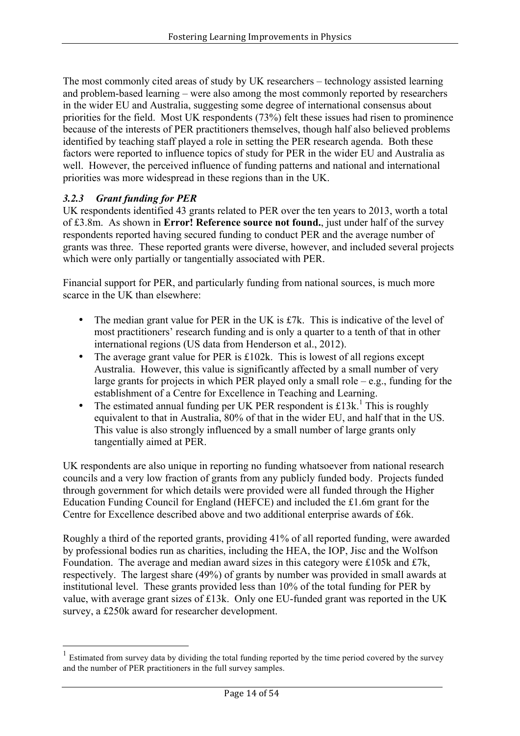The most commonly cited areas of study by UK researchers – technology assisted learning and problem-based learning – were also among the most commonly reported by researchers in the wider EU and Australia, suggesting some degree of international consensus about priorities for the field. Most UK respondents (73%) felt these issues had risen to prominence because of the interests of PER practitioners themselves, though half also believed problems identified by teaching staff played a role in setting the PER research agenda. Both these factors were reported to influence topics of study for PER in the wider EU and Australia as well. However, the perceived influence of funding patterns and national and international priorities was more widespread in these regions than in the UK.

## *3.2.3 Grant funding for PER*

UK respondents identified 43 grants related to PER over the ten years to 2013, worth a total of £3.8m. As shown in **Error! Reference source not found.**, just under half of the survey respondents reported having secured funding to conduct PER and the average number of grants was three. These reported grants were diverse, however, and included several projects which were only partially or tangentially associated with PER.

Financial support for PER, and particularly funding from national sources, is much more scarce in the UK than elsewhere:

- The median grant value for PER in the UK is £7k. This is indicative of the level of most practitioners' research funding and is only a quarter to a tenth of that in other international regions (US data from Henderson et al., 2012).
- The average grant value for PER is £102k. This is lowest of all regions except Australia. However, this value is significantly affected by a small number of very large grants for projects in which PER played only a small role – e.g., funding for the establishment of a Centre for Excellence in Teaching and Learning.
- The estimated annual funding per UK PER respondent is  $\pounds 13k$ .<sup>1</sup> This is roughly equivalent to that in Australia, 80% of that in the wider EU, and half that in the US. This value is also strongly influenced by a small number of large grants only tangentially aimed at PER.

UK respondents are also unique in reporting no funding whatsoever from national research councils and a very low fraction of grants from any publicly funded body. Projects funded through government for which details were provided were all funded through the Higher Education Funding Council for England (HEFCE) and included the £1.6m grant for the Centre for Excellence described above and two additional enterprise awards of £6k.

Roughly a third of the reported grants, providing 41% of all reported funding, were awarded by professional bodies run as charities, including the HEA, the IOP, Jisc and the Wolfson Foundation. The average and median award sizes in this category were £105k and £7k, respectively. The largest share (49%) of grants by number was provided in small awards at institutional level. These grants provided less than 10% of the total funding for PER by value, with average grant sizes of £13k. Only one EU-funded grant was reported in the UK survey, a £250k award for researcher development.

 <sup>1</sup> Estimated from survey data by dividing the total funding reported by the time period covered by the survey and the number of PER practitioners in the full survey samples.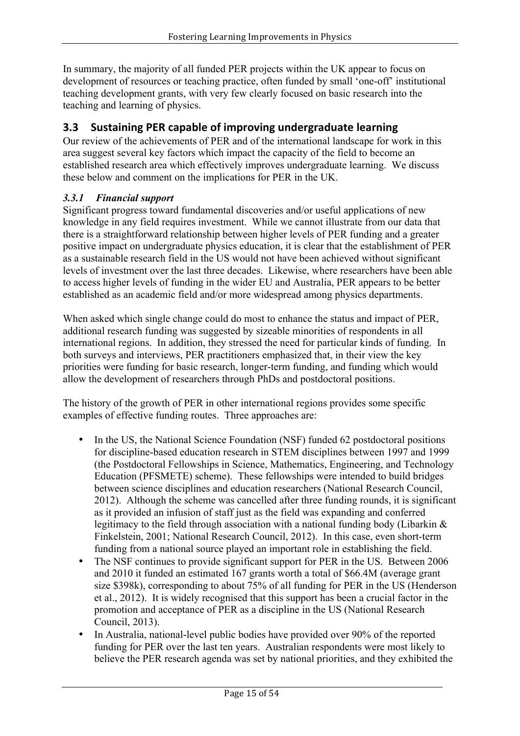In summary, the majority of all funded PER projects within the UK appear to focus on development of resources or teaching practice, often funded by small 'one-off' institutional teaching development grants, with very few clearly focused on basic research into the teaching and learning of physics.

## **3.3 Sustaining PER capable of improving undergraduate learning**

Our review of the achievements of PER and of the international landscape for work in this area suggest several key factors which impact the capacity of the field to become an established research area which effectively improves undergraduate learning. We discuss these below and comment on the implications for PER in the UK.

## *3.3.1 Financial support*

Significant progress toward fundamental discoveries and/or useful applications of new knowledge in any field requires investment. While we cannot illustrate from our data that there is a straightforward relationship between higher levels of PER funding and a greater positive impact on undergraduate physics education, it is clear that the establishment of PER as a sustainable research field in the US would not have been achieved without significant levels of investment over the last three decades. Likewise, where researchers have been able to access higher levels of funding in the wider EU and Australia, PER appears to be better established as an academic field and/or more widespread among physics departments.

When asked which single change could do most to enhance the status and impact of PER, additional research funding was suggested by sizeable minorities of respondents in all international regions. In addition, they stressed the need for particular kinds of funding. In both surveys and interviews, PER practitioners emphasized that, in their view the key priorities were funding for basic research, longer-term funding, and funding which would allow the development of researchers through PhDs and postdoctoral positions.

The history of the growth of PER in other international regions provides some specific examples of effective funding routes. Three approaches are:

- In the US, the National Science Foundation (NSF) funded 62 postdoctoral positions for discipline-based education research in STEM disciplines between 1997 and 1999 (the Postdoctoral Fellowships in Science, Mathematics, Engineering, and Technology Education (PFSMETE) scheme). These fellowships were intended to build bridges between science disciplines and education researchers (National Research Council, 2012). Although the scheme was cancelled after three funding rounds, it is significant as it provided an infusion of staff just as the field was expanding and conferred legitimacy to the field through association with a national funding body (Libarkin & Finkelstein, 2001; National Research Council, 2012). In this case, even short-term funding from a national source played an important role in establishing the field.
- The NSF continues to provide significant support for PER in the US. Between 2006 and 2010 it funded an estimated 167 grants worth a total of \$66.4M (average grant size \$398k), corresponding to about 75% of all funding for PER in the US (Henderson et al., 2012). It is widely recognised that this support has been a crucial factor in the promotion and acceptance of PER as a discipline in the US (National Research Council, 2013).
- In Australia, national-level public bodies have provided over 90% of the reported funding for PER over the last ten years. Australian respondents were most likely to believe the PER research agenda was set by national priorities, and they exhibited the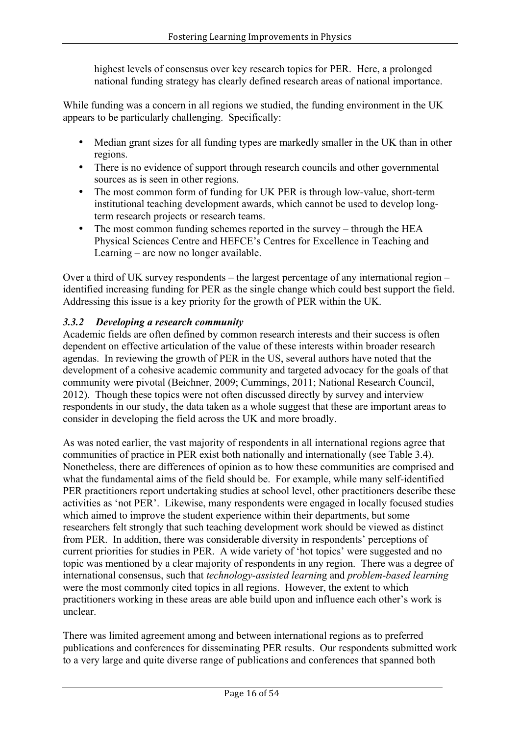highest levels of consensus over key research topics for PER. Here, a prolonged national funding strategy has clearly defined research areas of national importance.

While funding was a concern in all regions we studied, the funding environment in the UK appears to be particularly challenging. Specifically:

- Median grant sizes for all funding types are markedly smaller in the UK than in other regions.
- There is no evidence of support through research councils and other governmental sources as is seen in other regions.
- The most common form of funding for UK PER is through low-value, short-term institutional teaching development awards, which cannot be used to develop longterm research projects or research teams.
- The most common funding schemes reported in the survey through the HEA Physical Sciences Centre and HEFCE's Centres for Excellence in Teaching and Learning – are now no longer available.

Over a third of UK survey respondents – the largest percentage of any international region – identified increasing funding for PER as the single change which could best support the field. Addressing this issue is a key priority for the growth of PER within the UK.

### *3.3.2 Developing a research community*

Academic fields are often defined by common research interests and their success is often dependent on effective articulation of the value of these interests within broader research agendas. In reviewing the growth of PER in the US, several authors have noted that the development of a cohesive academic community and targeted advocacy for the goals of that community were pivotal (Beichner, 2009; Cummings, 2011; National Research Council, 2012). Though these topics were not often discussed directly by survey and interview respondents in our study, the data taken as a whole suggest that these are important areas to consider in developing the field across the UK and more broadly.

As was noted earlier, the vast majority of respondents in all international regions agree that communities of practice in PER exist both nationally and internationally (see Table 3.4). Nonetheless, there are differences of opinion as to how these communities are comprised and what the fundamental aims of the field should be. For example, while many self-identified PER practitioners report undertaking studies at school level, other practitioners describe these activities as 'not PER'. Likewise, many respondents were engaged in locally focused studies which aimed to improve the student experience within their departments, but some researchers felt strongly that such teaching development work should be viewed as distinct from PER. In addition, there was considerable diversity in respondents' perceptions of current priorities for studies in PER. A wide variety of 'hot topics' were suggested and no topic was mentioned by a clear majority of respondents in any region. There was a degree of international consensus, such that *technology-assisted learnin*g and *problem-based learning* were the most commonly cited topics in all regions. However, the extent to which practitioners working in these areas are able build upon and influence each other's work is unclear.

There was limited agreement among and between international regions as to preferred publications and conferences for disseminating PER results. Our respondents submitted work to a very large and quite diverse range of publications and conferences that spanned both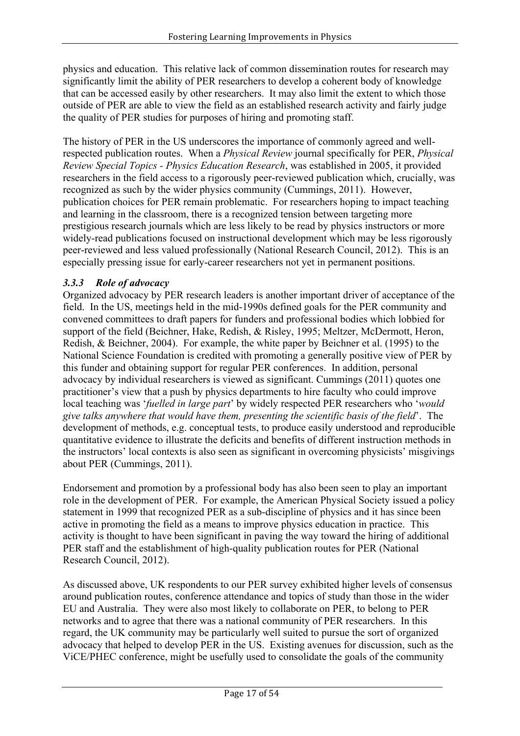physics and education. This relative lack of common dissemination routes for research may significantly limit the ability of PER researchers to develop a coherent body of knowledge that can be accessed easily by other researchers. It may also limit the extent to which those outside of PER are able to view the field as an established research activity and fairly judge the quality of PER studies for purposes of hiring and promoting staff.

The history of PER in the US underscores the importance of commonly agreed and wellrespected publication routes. When a *Physical Review* journal specifically for PER, *Physical Review Special Topics - Physics Education Research*, was established in 2005, it provided researchers in the field access to a rigorously peer-reviewed publication which, crucially, was recognized as such by the wider physics community (Cummings, 2011). However, publication choices for PER remain problematic. For researchers hoping to impact teaching and learning in the classroom, there is a recognized tension between targeting more prestigious research journals which are less likely to be read by physics instructors or more widely-read publications focused on instructional development which may be less rigorously peer-reviewed and less valued professionally (National Research Council, 2012). This is an especially pressing issue for early-career researchers not yet in permanent positions.

### *3.3.3 Role of advocacy*

Organized advocacy by PER research leaders is another important driver of acceptance of the field. In the US, meetings held in the mid-1990s defined goals for the PER community and convened committees to draft papers for funders and professional bodies which lobbied for support of the field (Beichner, Hake, Redish, & Risley, 1995; Meltzer, McDermott, Heron, Redish, & Beichner, 2004). For example, the white paper by Beichner et al. (1995) to the National Science Foundation is credited with promoting a generally positive view of PER by this funder and obtaining support for regular PER conferences. In addition, personal advocacy by individual researchers is viewed as significant. Cummings (2011) quotes one practitioner's view that a push by physics departments to hire faculty who could improve local teaching was '*fuelled in large part*' by widely respected PER researchers who '*would give talks anywhere that would have them, presenting the scientific basis of the field*'. The development of methods, e.g. conceptual tests, to produce easily understood and reproducible quantitative evidence to illustrate the deficits and benefits of different instruction methods in the instructors' local contexts is also seen as significant in overcoming physicists' misgivings about PER (Cummings, 2011).

Endorsement and promotion by a professional body has also been seen to play an important role in the development of PER. For example, the American Physical Society issued a policy statement in 1999 that recognized PER as a sub-discipline of physics and it has since been active in promoting the field as a means to improve physics education in practice. This activity is thought to have been significant in paving the way toward the hiring of additional PER staff and the establishment of high-quality publication routes for PER (National Research Council, 2012).

As discussed above, UK respondents to our PER survey exhibited higher levels of consensus around publication routes, conference attendance and topics of study than those in the wider EU and Australia. They were also most likely to collaborate on PER, to belong to PER networks and to agree that there was a national community of PER researchers. In this regard, the UK community may be particularly well suited to pursue the sort of organized advocacy that helped to develop PER in the US. Existing avenues for discussion, such as the ViCE/PHEC conference, might be usefully used to consolidate the goals of the community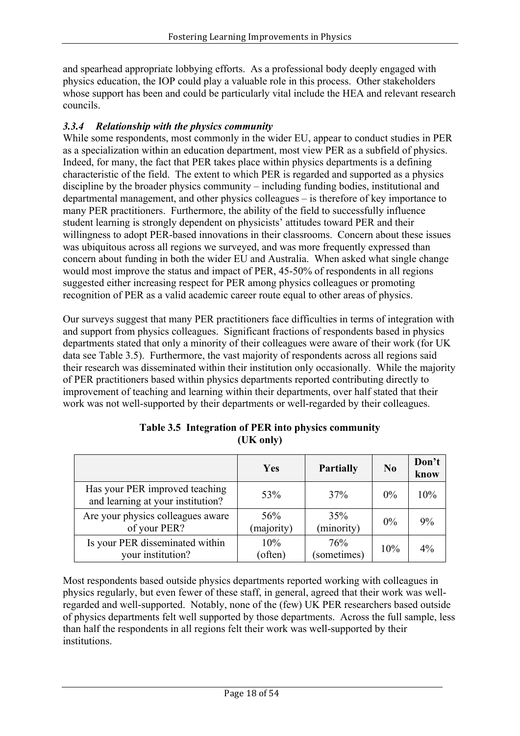and spearhead appropriate lobbying efforts. As a professional body deeply engaged with physics education, the IOP could play a valuable role in this process. Other stakeholders whose support has been and could be particularly vital include the HEA and relevant research councils.

### *3.3.4 Relationship with the physics community*

While some respondents, most commonly in the wider EU, appear to conduct studies in PER as a specialization within an education department, most view PER as a subfield of physics. Indeed, for many, the fact that PER takes place within physics departments is a defining characteristic of the field. The extent to which PER is regarded and supported as a physics discipline by the broader physics community – including funding bodies, institutional and departmental management, and other physics colleagues – is therefore of key importance to many PER practitioners. Furthermore, the ability of the field to successfully influence student learning is strongly dependent on physicists' attitudes toward PER and their willingness to adopt PER-based innovations in their classrooms. Concern about these issues was ubiquitous across all regions we surveyed, and was more frequently expressed than concern about funding in both the wider EU and Australia. When asked what single change would most improve the status and impact of PER, 45-50% of respondents in all regions suggested either increasing respect for PER among physics colleagues or promoting recognition of PER as a valid academic career route equal to other areas of physics.

Our surveys suggest that many PER practitioners face difficulties in terms of integration with and support from physics colleagues. Significant fractions of respondents based in physics departments stated that only a minority of their colleagues were aware of their work (for UK data see Table 3.5). Furthermore, the vast majority of respondents across all regions said their research was disseminated within their institution only occasionally. While the majority of PER practitioners based within physics departments reported contributing directly to improvement of teaching and learning within their departments, over half stated that their work was not well-supported by their departments or well-regarded by their colleagues.

|                                                                     | <b>Yes</b>        | <b>Partially</b>   | N <sub>0</sub> | Don't<br>know |
|---------------------------------------------------------------------|-------------------|--------------------|----------------|---------------|
| Has your PER improved teaching<br>and learning at your institution? | 53%               | 37%                | $0\%$          | 10%           |
| Are your physics colleagues aware<br>of your PER?                   | 56%<br>(majority) | 35%<br>(minority)  | $0\%$          | 9%            |
| Is your PER disseminated within<br>your institution?                | 10%<br>(often)    | 76%<br>(sometimes) | 10%            | $4\%$         |

### **Table 3.5 Integration of PER into physics community (UK only)**

Most respondents based outside physics departments reported working with colleagues in physics regularly, but even fewer of these staff, in general, agreed that their work was wellregarded and well-supported. Notably, none of the (few) UK PER researchers based outside of physics departments felt well supported by those departments. Across the full sample, less than half the respondents in all regions felt their work was well-supported by their **institutions**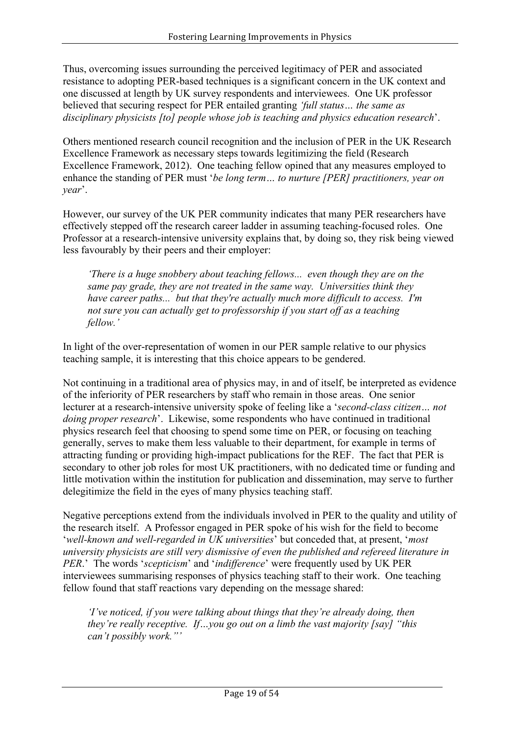Thus, overcoming issues surrounding the perceived legitimacy of PER and associated resistance to adopting PER-based techniques is a significant concern in the UK context and one discussed at length by UK survey respondents and interviewees. One UK professor believed that securing respect for PER entailed granting *'full status… the same as disciplinary physicists [to] people whose job is teaching and physics education research*'.

Others mentioned research council recognition and the inclusion of PER in the UK Research Excellence Framework as necessary steps towards legitimizing the field (Research Excellence Framework, 2012). One teaching fellow opined that any measures employed to enhance the standing of PER must '*be long term… to nurture [PER] practitioners, year on year*'.

However, our survey of the UK PER community indicates that many PER researchers have effectively stepped off the research career ladder in assuming teaching-focused roles. One Professor at a research-intensive university explains that, by doing so, they risk being viewed less favourably by their peers and their employer:

*'There is a huge snobbery about teaching fellows... even though they are on the same pay grade, they are not treated in the same way. Universities think they have career paths... but that they're actually much more difficult to access. I'm not sure you can actually get to professorship if you start off as a teaching fellow.'*

In light of the over-representation of women in our PER sample relative to our physics teaching sample, it is interesting that this choice appears to be gendered.

Not continuing in a traditional area of physics may, in and of itself, be interpreted as evidence of the inferiority of PER researchers by staff who remain in those areas. One senior lecturer at a research-intensive university spoke of feeling like a '*second-class citizen… not doing proper research*'. Likewise, some respondents who have continued in traditional physics research feel that choosing to spend some time on PER, or focusing on teaching generally, serves to make them less valuable to their department, for example in terms of attracting funding or providing high-impact publications for the REF. The fact that PER is secondary to other job roles for most UK practitioners, with no dedicated time or funding and little motivation within the institution for publication and dissemination, may serve to further delegitimize the field in the eyes of many physics teaching staff.

Negative perceptions extend from the individuals involved in PER to the quality and utility of the research itself. A Professor engaged in PER spoke of his wish for the field to become '*well-known and well-regarded in UK universities*' but conceded that, at present, '*most university physicists are still very dismissive of even the published and refereed literature in PER*.' The words '*scepticism*' and '*indifference*' were frequently used by UK PER interviewees summarising responses of physics teaching staff to their work. One teaching fellow found that staff reactions vary depending on the message shared:

*'I've noticed, if you were talking about things that they're already doing, then they're really receptive. If…you go out on a limb the vast majority [say] "this can't possibly work."'*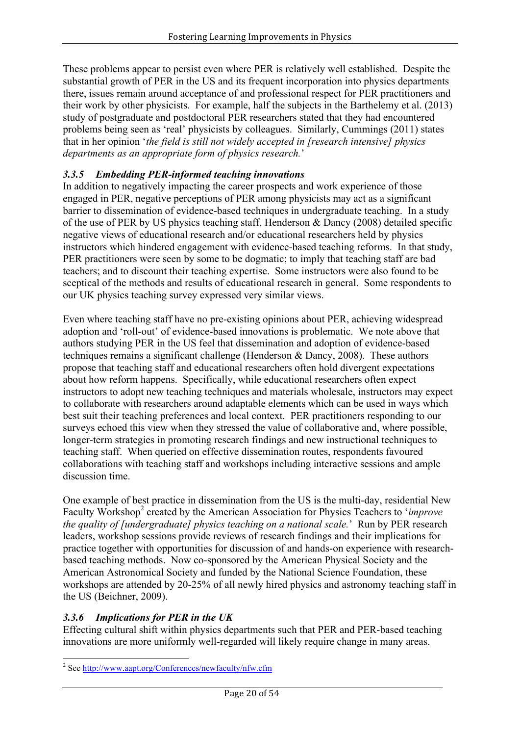These problems appear to persist even where PER is relatively well established. Despite the substantial growth of PER in the US and its frequent incorporation into physics departments there, issues remain around acceptance of and professional respect for PER practitioners and their work by other physicists. For example, half the subjects in the Barthelemy et al. (2013) study of postgraduate and postdoctoral PER researchers stated that they had encountered problems being seen as 'real' physicists by colleagues. Similarly, Cummings (2011) states that in her opinion '*the field is still not widely accepted in [research intensive] physics departments as an appropriate form of physics research.*'

### *3.3.5 Embedding PER-informed teaching innovations*

In addition to negatively impacting the career prospects and work experience of those engaged in PER, negative perceptions of PER among physicists may act as a significant barrier to dissemination of evidence-based techniques in undergraduate teaching. In a study of the use of PER by US physics teaching staff, Henderson & Dancy (2008) detailed specific negative views of educational research and/or educational researchers held by physics instructors which hindered engagement with evidence-based teaching reforms. In that study, PER practitioners were seen by some to be dogmatic; to imply that teaching staff are bad teachers; and to discount their teaching expertise. Some instructors were also found to be sceptical of the methods and results of educational research in general. Some respondents to our UK physics teaching survey expressed very similar views.

Even where teaching staff have no pre-existing opinions about PER, achieving widespread adoption and 'roll-out' of evidence-based innovations is problematic. We note above that authors studying PER in the US feel that dissemination and adoption of evidence-based techniques remains a significant challenge (Henderson & Dancy, 2008). These authors propose that teaching staff and educational researchers often hold divergent expectations about how reform happens. Specifically, while educational researchers often expect instructors to adopt new teaching techniques and materials wholesale, instructors may expect to collaborate with researchers around adaptable elements which can be used in ways which best suit their teaching preferences and local context. PER practitioners responding to our surveys echoed this view when they stressed the value of collaborative and, where possible, longer-term strategies in promoting research findings and new instructional techniques to teaching staff. When queried on effective dissemination routes, respondents favoured collaborations with teaching staff and workshops including interactive sessions and ample discussion time.

One example of best practice in dissemination from the US is the multi-day, residential New Faculty Workshop<sup>2</sup> created by the American Association for Physics Teachers to '*improve the quality of [undergraduate] physics teaching on a national scale.*' Run by PER research leaders, workshop sessions provide reviews of research findings and their implications for practice together with opportunities for discussion of and hands-on experience with researchbased teaching methods. Now co-sponsored by the American Physical Society and the American Astronomical Society and funded by the National Science Foundation, these workshops are attended by 20-25% of all newly hired physics and astronomy teaching staff in the US (Beichner, 2009).

### *3.3.6 Implications for PER in the UK*

Effecting cultural shift within physics departments such that PER and PER-based teaching innovations are more uniformly well-regarded will likely require change in many areas.

 <sup>2</sup> See http://www.aapt.org/Conferences/newfaculty/nfw.cfm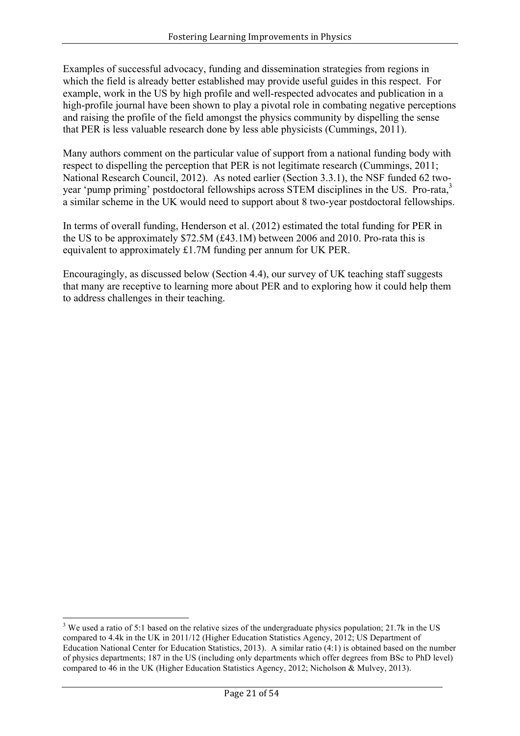Examples of successful advocacy, funding and dissemination strategies from regions in which the field is already better established may provide useful guides in this respect. For example, work in the US by high profile and well-respected advocates and publication in a high-profile journal have been shown to play a pivotal role in combating negative perceptions and raising the profile of the field amongst the physics community by dispelling the sense that PER is less valuable research done by less able physicists (Cummings, 2011).

Many authors comment on the particular value of support from a national funding body with respect to dispelling the perception that PER is not legitimate research (Cummings, 2011; National Research Council, 2012). As noted earlier (Section 3.3.1), the NSF funded 62 twoyear 'pump priming' postdoctoral fellowships across STEM disciplines in the US. Pro-rata,<sup>3</sup> a similar scheme in the UK would need to support about 8 two-year postdoctoral fellowships.

In terms of overall funding, Henderson et al. (2012) estimated the total funding for PER in the US to be approximately \$72.5M (£43.1M) between 2006 and 2010. Pro-rata this is equivalent to approximately £1.7M funding per annum for UK PER.

Encouragingly, as discussed below (Section 4.4), our survey of UK teaching staff suggests that many are receptive to learning more about PER and to exploring how it could help them to address challenges in their teaching.

<sup>&</sup>lt;sup>3</sup> We used a ratio of 5:1 based on the relative sizes of the undergraduate physics population; 21.7k in the US compared to 4.4k in the UK in 2011/12 (Higher Education Statistics Agency, 2012; US Department of Education National Center for Education Statistics, 2013). A similar ratio (4:1) is obtained based on the number of physics departments; 187 in the US (including only departments which offer degrees from BSc to PhD level) compared to 46 in the UK (Higher Education Statistics Agency, 2012; Nicholson & Mulvey, 2013).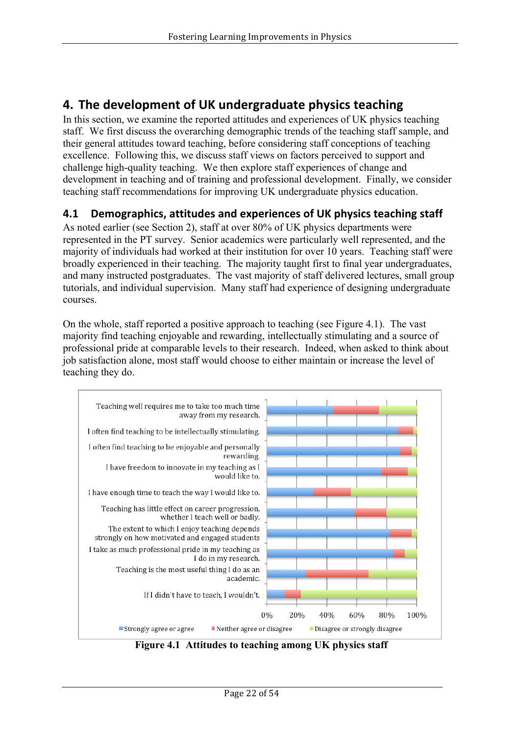# **4. The development of UK undergraduate physics teaching**

In this section, we examine the reported attitudes and experiences of UK physics teaching staff. We first discuss the overarching demographic trends of the teaching staff sample, and their general attitudes toward teaching, before considering staff conceptions of teaching excellence. Following this, we discuss staff views on factors perceived to support and challenge high-quality teaching. We then explore staff experiences of change and development in teaching and of training and professional development. Finally, we consider teaching staff recommendations for improving UK undergraduate physics education.

## **4.1 Demographics, attitudes and experiences of UK physics teaching staff**

As noted earlier (see Section 2), staff at over 80% of UK physics departments were represented in the PT survey. Senior academics were particularly well represented, and the majority of individuals had worked at their institution for over 10 years. Teaching staff were broadly experienced in their teaching. The majority taught first to final year undergraduates, and many instructed postgraduates. The vast majority of staff delivered lectures, small group tutorials, and individual supervision. Many staff had experience of designing undergraduate courses.

On the whole, staff reported a positive approach to teaching (see Figure 4.1). The vast majority find teaching enjoyable and rewarding, intellectually stimulating and a source of professional pride at comparable levels to their research. Indeed, when asked to think about job satisfaction alone, most staff would choose to either maintain or increase the level of teaching they do.



**Figure 4.1 Attitudes to teaching among UK physics staff**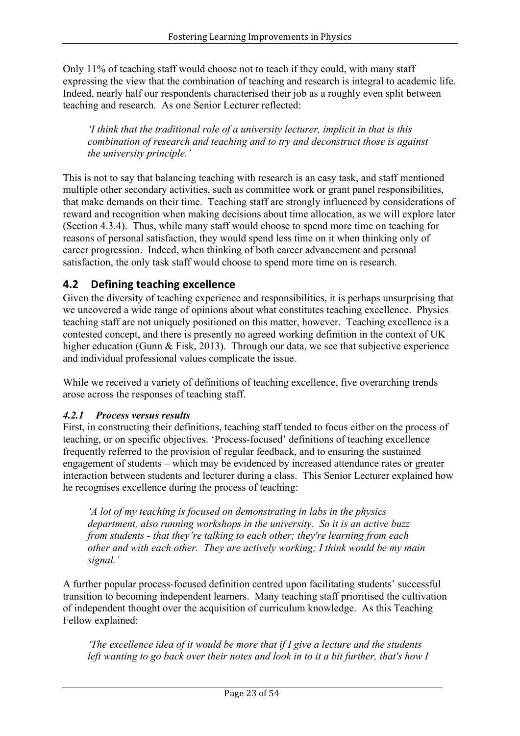Only 11% of teaching staff would choose not to teach if they could, with many staff expressing the view that the combination of teaching and research is integral to academic life. Indeed, nearly half our respondents characterised their job as a roughly even split between teaching and research. As one Senior Lecturer reflected:

*'I think that the traditional role of a university lecturer, implicit in that is this combination of research and teaching and to try and deconstruct those is against the university principle.'*

This is not to say that balancing teaching with research is an easy task, and staff mentioned multiple other secondary activities, such as committee work or grant panel responsibilities, that make demands on their time. Teaching staff are strongly influenced by considerations of reward and recognition when making decisions about time allocation, as we will explore later (Section 4.3.4). Thus, while many staff would choose to spend more time on teaching for reasons of personal satisfaction, they would spend less time on it when thinking only of career progression. Indeed, when thinking of both career advancement and personal satisfaction, the only task staff would choose to spend more time on is research.

## **4.2** Defining teaching excellence

Given the diversity of teaching experience and responsibilities, it is perhaps unsurprising that we uncovered a wide range of opinions about what constitutes teaching excellence. Physics teaching staff are not uniquely positioned on this matter, however. Teaching excellence is a contested concept, and there is presently no agreed working definition in the context of UK higher education (Gunn & Fisk, 2013). Through our data, we see that subjective experience and individual professional values complicate the issue.

While we received a variety of definitions of teaching excellence, five overarching trends arose across the responses of teaching staff.

### *4.2.1 Process versus results*

First, in constructing their definitions, teaching staff tended to focus either on the process of teaching, or on specific objectives. 'Process-focused' definitions of teaching excellence frequently referred to the provision of regular feedback, and to ensuring the sustained engagement of students – which may be evidenced by increased attendance rates or greater interaction between students and lecturer during a class. This Senior Lecturer explained how he recognises excellence during the process of teaching:

*'A lot of my teaching is focused on demonstrating in labs in the physics department, also running workshops in the university. So it is an active buzz from students - that they're talking to each other; they're learning from each other and with each other. They are actively working; I think would be my main signal.'*

A further popular process-focused definition centred upon facilitating students' successful transition to becoming independent learners. Many teaching staff prioritised the cultivation of independent thought over the acquisition of curriculum knowledge. As this Teaching Fellow explained:

*'The excellence idea of it would be more that if I give a lecture and the students left wanting to go back over their notes and look in to it a bit further, that's how I*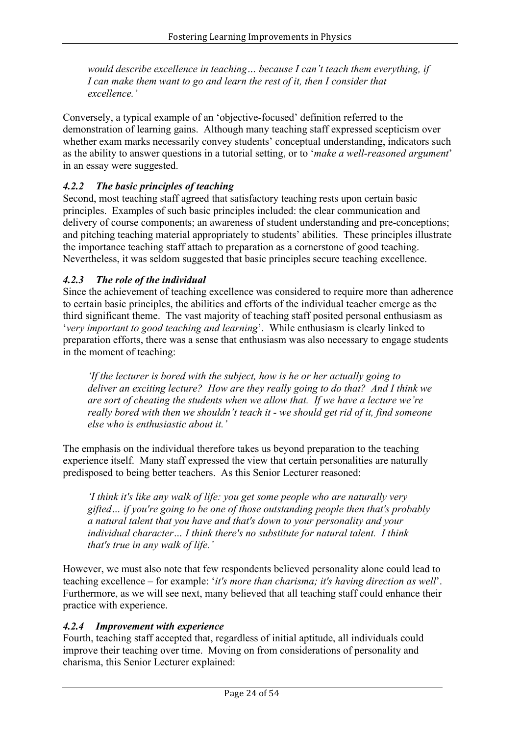*would describe excellence in teaching… because I can't teach them everything, if I can make them want to go and learn the rest of it, then I consider that excellence.'*

Conversely, a typical example of an 'objective-focused' definition referred to the demonstration of learning gains. Although many teaching staff expressed scepticism over whether exam marks necessarily convey students' conceptual understanding, indicators such as the ability to answer questions in a tutorial setting, or to '*make a well-reasoned argument*' in an essay were suggested.

### *4.2.2 The basic principles of teaching*

Second, most teaching staff agreed that satisfactory teaching rests upon certain basic principles. Examples of such basic principles included: the clear communication and delivery of course components; an awareness of student understanding and pre-conceptions; and pitching teaching material appropriately to students' abilities. These principles illustrate the importance teaching staff attach to preparation as a cornerstone of good teaching. Nevertheless, it was seldom suggested that basic principles secure teaching excellence.

### *4.2.3 The role of the individual*

Since the achievement of teaching excellence was considered to require more than adherence to certain basic principles, the abilities and efforts of the individual teacher emerge as the third significant theme. The vast majority of teaching staff posited personal enthusiasm as '*very important to good teaching and learning*'. While enthusiasm is clearly linked to preparation efforts, there was a sense that enthusiasm was also necessary to engage students in the moment of teaching:

*'If the lecturer is bored with the subject, how is he or her actually going to deliver an exciting lecture? How are they really going to do that? And I think we are sort of cheating the students when we allow that. If we have a lecture we're really bored with then we shouldn't teach it - we should get rid of it, find someone else who is enthusiastic about it.'*

The emphasis on the individual therefore takes us beyond preparation to the teaching experience itself. Many staff expressed the view that certain personalities are naturally predisposed to being better teachers. As this Senior Lecturer reasoned:

*'I think it's like any walk of life: you get some people who are naturally very gifted… if you're going to be one of those outstanding people then that's probably a natural talent that you have and that's down to your personality and your individual character… I think there's no substitute for natural talent. I think that's true in any walk of life.'*

However, we must also note that few respondents believed personality alone could lead to teaching excellence – for example: '*it's more than charisma; it's having direction as well*'. Furthermore, as we will see next, many believed that all teaching staff could enhance their practice with experience.

### *4.2.4 Improvement with experience*

Fourth, teaching staff accepted that, regardless of initial aptitude, all individuals could improve their teaching over time. Moving on from considerations of personality and charisma, this Senior Lecturer explained: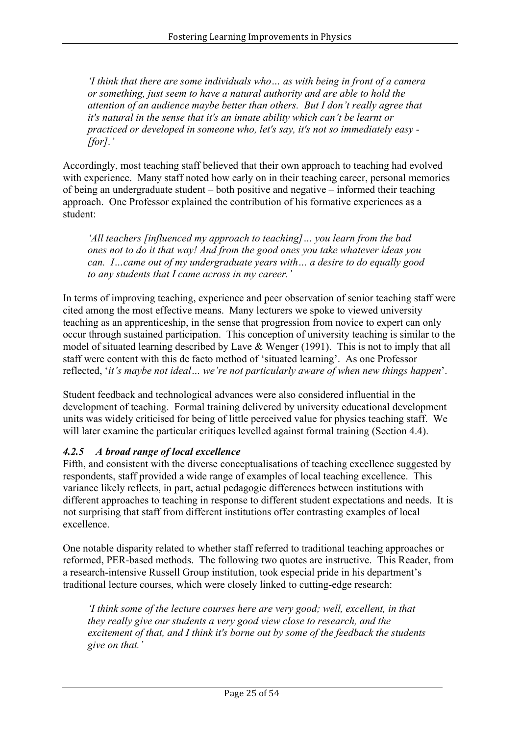*'I think that there are some individuals who… as with being in front of a camera or something, just seem to have a natural authority and are able to hold the attention of an audience maybe better than others. But I don't really agree that it's natural in the sense that it's an innate ability which can't be learnt or practiced or developed in someone who, let's say, it's not so immediately easy - [for].'*

Accordingly, most teaching staff believed that their own approach to teaching had evolved with experience. Many staff noted how early on in their teaching career, personal memories of being an undergraduate student – both positive and negative – informed their teaching approach. One Professor explained the contribution of his formative experiences as a student:

*'All teachers [influenced my approach to teaching]… you learn from the bad ones not to do it that way! And from the good ones you take whatever ideas you can. I…came out of my undergraduate years with… a desire to do equally good to any students that I came across in my career.'* 

In terms of improving teaching, experience and peer observation of senior teaching staff were cited among the most effective means. Many lecturers we spoke to viewed university teaching as an apprenticeship, in the sense that progression from novice to expert can only occur through sustained participation. This conception of university teaching is similar to the model of situated learning described by Lave & Wenger (1991). This is not to imply that all staff were content with this de facto method of 'situated learning'. As one Professor reflected, '*it's maybe not ideal… we're not particularly aware of when new things happen*'.

Student feedback and technological advances were also considered influential in the development of teaching. Formal training delivered by university educational development units was widely criticised for being of little perceived value for physics teaching staff. We will later examine the particular critiques levelled against formal training (Section 4.4).

### *4.2.5 A broad range of local excellence*

Fifth, and consistent with the diverse conceptualisations of teaching excellence suggested by respondents, staff provided a wide range of examples of local teaching excellence. This variance likely reflects, in part, actual pedagogic differences between institutions with different approaches to teaching in response to different student expectations and needs. It is not surprising that staff from different institutions offer contrasting examples of local excellence.

One notable disparity related to whether staff referred to traditional teaching approaches or reformed, PER-based methods. The following two quotes are instructive. This Reader, from a research-intensive Russell Group institution, took especial pride in his department's traditional lecture courses, which were closely linked to cutting-edge research:

*'I think some of the lecture courses here are very good; well, excellent, in that they really give our students a very good view close to research, and the excitement of that, and I think it's borne out by some of the feedback the students give on that.'*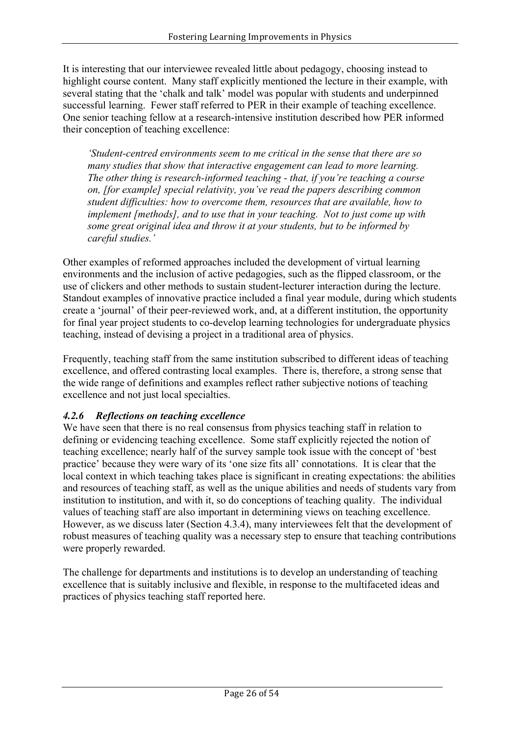It is interesting that our interviewee revealed little about pedagogy, choosing instead to highlight course content. Many staff explicitly mentioned the lecture in their example, with several stating that the 'chalk and talk' model was popular with students and underpinned successful learning. Fewer staff referred to PER in their example of teaching excellence. One senior teaching fellow at a research-intensive institution described how PER informed their conception of teaching excellence:

*'Student-centred environments seem to me critical in the sense that there are so many studies that show that interactive engagement can lead to more learning. The other thing is research-informed teaching - that, if you're teaching a course on, [for example] special relativity, you've read the papers describing common student difficulties: how to overcome them, resources that are available, how to implement [methods], and to use that in your teaching. Not to just come up with some great original idea and throw it at your students, but to be informed by careful studies.'*

Other examples of reformed approaches included the development of virtual learning environments and the inclusion of active pedagogies, such as the flipped classroom, or the use of clickers and other methods to sustain student-lecturer interaction during the lecture. Standout examples of innovative practice included a final year module, during which students create a 'journal' of their peer-reviewed work, and, at a different institution, the opportunity for final year project students to co-develop learning technologies for undergraduate physics teaching, instead of devising a project in a traditional area of physics.

Frequently, teaching staff from the same institution subscribed to different ideas of teaching excellence, and offered contrasting local examples. There is, therefore, a strong sense that the wide range of definitions and examples reflect rather subjective notions of teaching excellence and not just local specialties.

### *4.2.6 Reflections on teaching excellence*

We have seen that there is no real consensus from physics teaching staff in relation to defining or evidencing teaching excellence. Some staff explicitly rejected the notion of teaching excellence; nearly half of the survey sample took issue with the concept of 'best practice' because they were wary of its 'one size fits all' connotations. It is clear that the local context in which teaching takes place is significant in creating expectations: the abilities and resources of teaching staff, as well as the unique abilities and needs of students vary from institution to institution, and with it, so do conceptions of teaching quality. The individual values of teaching staff are also important in determining views on teaching excellence. However, as we discuss later (Section 4.3.4), many interviewees felt that the development of robust measures of teaching quality was a necessary step to ensure that teaching contributions were properly rewarded.

The challenge for departments and institutions is to develop an understanding of teaching excellence that is suitably inclusive and flexible, in response to the multifaceted ideas and practices of physics teaching staff reported here.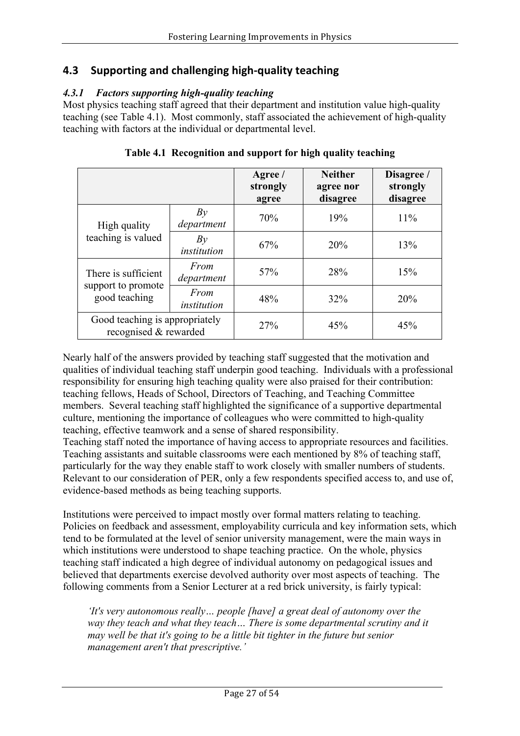## **4.3 Supporting and challenging high-quality teaching**

### *4.3.1 Factors supporting high-quality teaching*

Most physics teaching staff agreed that their department and institution value high-quality teaching (see Table 4.1). Most commonly, staff associated the achievement of high-quality teaching with factors at the individual or departmental level.

|                                                            |                     | Agree /<br>strongly<br>agree | <b>Neither</b><br>agree nor<br>disagree | Disagree /<br>strongly<br>disagree |
|------------------------------------------------------------|---------------------|------------------------------|-----------------------------------------|------------------------------------|
| High quality<br>teaching is valued                         | Bv<br>department    | 70%                          | 19%                                     | 11%                                |
|                                                            | Bv<br>institution   | 67%                          | 20%                                     | 13%                                |
| There is sufficient<br>support to promote<br>good teaching | From<br>department  | 57%                          | 28%                                     | 15%                                |
|                                                            | From<br>institution | 48%                          | 32%                                     | 20%                                |
| Good teaching is appropriately<br>recognised & rewarded    |                     | 27%                          | 45%                                     | 45%                                |

**Table 4.1 Recognition and support for high quality teaching**

Nearly half of the answers provided by teaching staff suggested that the motivation and qualities of individual teaching staff underpin good teaching. Individuals with a professional responsibility for ensuring high teaching quality were also praised for their contribution: teaching fellows, Heads of School, Directors of Teaching, and Teaching Committee members. Several teaching staff highlighted the significance of a supportive departmental culture, mentioning the importance of colleagues who were committed to high-quality teaching, effective teamwork and a sense of shared responsibility.

Teaching staff noted the importance of having access to appropriate resources and facilities. Teaching assistants and suitable classrooms were each mentioned by 8% of teaching staff, particularly for the way they enable staff to work closely with smaller numbers of students. Relevant to our consideration of PER, only a few respondents specified access to, and use of, evidence-based methods as being teaching supports.

Institutions were perceived to impact mostly over formal matters relating to teaching. Policies on feedback and assessment, employability curricula and key information sets, which tend to be formulated at the level of senior university management, were the main ways in which institutions were understood to shape teaching practice. On the whole, physics teaching staff indicated a high degree of individual autonomy on pedagogical issues and believed that departments exercise devolved authority over most aspects of teaching. The following comments from a Senior Lecturer at a red brick university, is fairly typical:

*'It's very autonomous really… people [have] a great deal of autonomy over the way they teach and what they teach… There is some departmental scrutiny and it may well be that it's going to be a little bit tighter in the future but senior management aren't that prescriptive.'*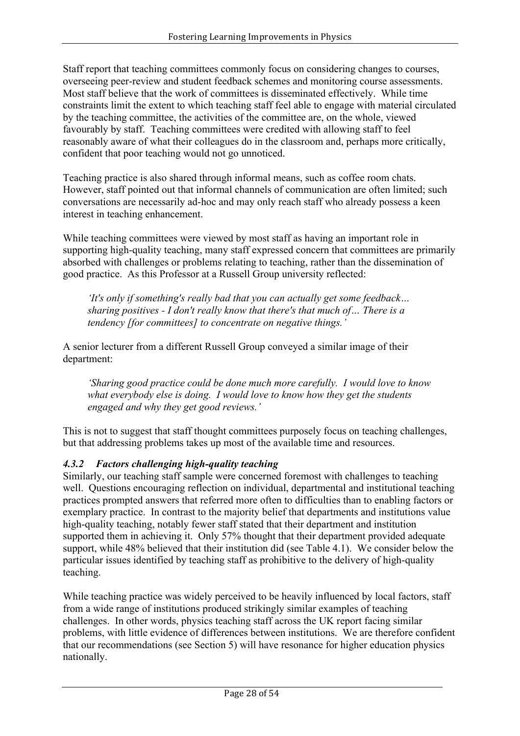Staff report that teaching committees commonly focus on considering changes to courses, overseeing peer-review and student feedback schemes and monitoring course assessments. Most staff believe that the work of committees is disseminated effectively. While time constraints limit the extent to which teaching staff feel able to engage with material circulated by the teaching committee, the activities of the committee are, on the whole, viewed favourably by staff. Teaching committees were credited with allowing staff to feel reasonably aware of what their colleagues do in the classroom and, perhaps more critically, confident that poor teaching would not go unnoticed.

Teaching practice is also shared through informal means, such as coffee room chats. However, staff pointed out that informal channels of communication are often limited; such conversations are necessarily ad-hoc and may only reach staff who already possess a keen interest in teaching enhancement.

While teaching committees were viewed by most staff as having an important role in supporting high-quality teaching, many staff expressed concern that committees are primarily absorbed with challenges or problems relating to teaching, rather than the dissemination of good practice. As this Professor at a Russell Group university reflected:

*'It's only if something's really bad that you can actually get some feedback… sharing positives - I don't really know that there's that much of… There is a tendency [for committees] to concentrate on negative things.'*

A senior lecturer from a different Russell Group conveyed a similar image of their department:

*'Sharing good practice could be done much more carefully. I would love to know what everybody else is doing. I would love to know how they get the students engaged and why they get good reviews.'*

This is not to suggest that staff thought committees purposely focus on teaching challenges, but that addressing problems takes up most of the available time and resources.

### *4.3.2 Factors challenging high-quality teaching*

Similarly, our teaching staff sample were concerned foremost with challenges to teaching well. Questions encouraging reflection on individual, departmental and institutional teaching practices prompted answers that referred more often to difficulties than to enabling factors or exemplary practice. In contrast to the majority belief that departments and institutions value high-quality teaching, notably fewer staff stated that their department and institution supported them in achieving it. Only 57% thought that their department provided adequate support, while 48% believed that their institution did (see Table 4.1). We consider below the particular issues identified by teaching staff as prohibitive to the delivery of high-quality teaching.

While teaching practice was widely perceived to be heavily influenced by local factors, staff from a wide range of institutions produced strikingly similar examples of teaching challenges. In other words, physics teaching staff across the UK report facing similar problems, with little evidence of differences between institutions. We are therefore confident that our recommendations (see Section 5) will have resonance for higher education physics nationally.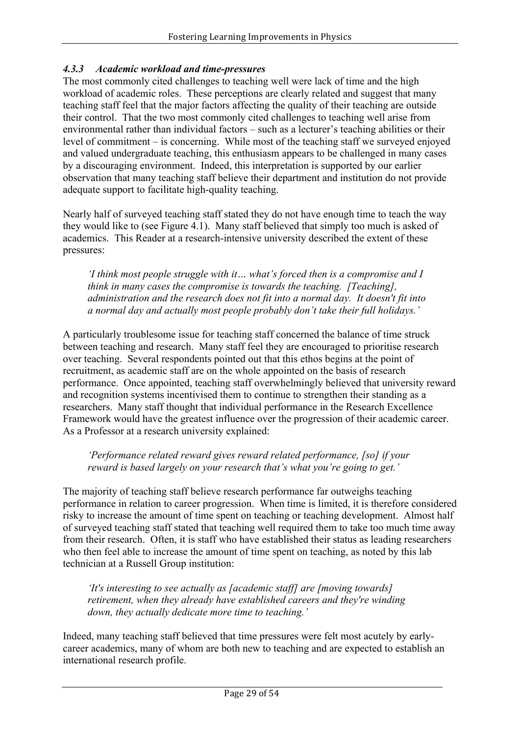### *4.3.3 Academic workload and time-pressures*

The most commonly cited challenges to teaching well were lack of time and the high workload of academic roles. These perceptions are clearly related and suggest that many teaching staff feel that the major factors affecting the quality of their teaching are outside their control. That the two most commonly cited challenges to teaching well arise from environmental rather than individual factors – such as a lecturer's teaching abilities or their level of commitment – is concerning. While most of the teaching staff we surveyed enjoyed and valued undergraduate teaching, this enthusiasm appears to be challenged in many cases by a discouraging environment. Indeed, this interpretation is supported by our earlier observation that many teaching staff believe their department and institution do not provide adequate support to facilitate high-quality teaching.

Nearly half of surveyed teaching staff stated they do not have enough time to teach the way they would like to (see Figure 4.1). Many staff believed that simply too much is asked of academics. This Reader at a research-intensive university described the extent of these pressures:

*'I think most people struggle with it… what's forced then is a compromise and I think in many cases the compromise is towards the teaching. [Teaching], administration and the research does not fit into a normal day. It doesn't fit into a normal day and actually most people probably don't take their full holidays.'*

A particularly troublesome issue for teaching staff concerned the balance of time struck between teaching and research. Many staff feel they are encouraged to prioritise research over teaching. Several respondents pointed out that this ethos begins at the point of recruitment, as academic staff are on the whole appointed on the basis of research performance. Once appointed, teaching staff overwhelmingly believed that university reward and recognition systems incentivised them to continue to strengthen their standing as a researchers. Many staff thought that individual performance in the Research Excellence Framework would have the greatest influence over the progression of their academic career. As a Professor at a research university explained:

*'Performance related reward gives reward related performance, [so] if your reward is based largely on your research that's what you're going to get.'* 

The majority of teaching staff believe research performance far outweighs teaching performance in relation to career progression. When time is limited, it is therefore considered risky to increase the amount of time spent on teaching or teaching development. Almost half of surveyed teaching staff stated that teaching well required them to take too much time away from their research. Often, it is staff who have established their status as leading researchers who then feel able to increase the amount of time spent on teaching, as noted by this lab technician at a Russell Group institution:

*'It's interesting to see actually as [academic staff] are [moving towards] retirement, when they already have established careers and they're winding down, they actually dedicate more time to teaching.'*

Indeed, many teaching staff believed that time pressures were felt most acutely by earlycareer academics, many of whom are both new to teaching and are expected to establish an international research profile.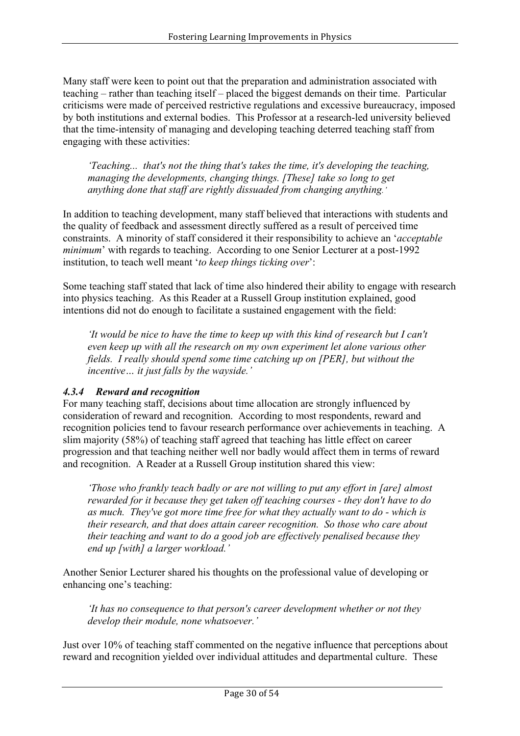Many staff were keen to point out that the preparation and administration associated with teaching – rather than teaching itself – placed the biggest demands on their time. Particular criticisms were made of perceived restrictive regulations and excessive bureaucracy, imposed by both institutions and external bodies. This Professor at a research-led university believed that the time-intensity of managing and developing teaching deterred teaching staff from engaging with these activities:

*'Teaching... that's not the thing that's takes the time, it's developing the teaching, managing the developments, changing things. [These] take so long to get anything done that staff are rightly dissuaded from changing anything.'*

In addition to teaching development, many staff believed that interactions with students and the quality of feedback and assessment directly suffered as a result of perceived time constraints. A minority of staff considered it their responsibility to achieve an '*acceptable minimum*' with regards to teaching. According to one Senior Lecturer at a post-1992 institution, to teach well meant '*to keep things ticking over*':

Some teaching staff stated that lack of time also hindered their ability to engage with research into physics teaching. As this Reader at a Russell Group institution explained, good intentions did not do enough to facilitate a sustained engagement with the field:

*'It would be nice to have the time to keep up with this kind of research but I can't even keep up with all the research on my own experiment let alone various other fields. I really should spend some time catching up on [PER], but without the incentive… it just falls by the wayside.'*

### *4.3.4 Reward and recognition*

For many teaching staff, decisions about time allocation are strongly influenced by consideration of reward and recognition. According to most respondents, reward and recognition policies tend to favour research performance over achievements in teaching. A slim majority (58%) of teaching staff agreed that teaching has little effect on career progression and that teaching neither well nor badly would affect them in terms of reward and recognition. A Reader at a Russell Group institution shared this view:

*'Those who frankly teach badly or are not willing to put any effort in [are] almost rewarded for it because they get taken off teaching courses - they don't have to do as much. They've got more time free for what they actually want to do - which is their research, and that does attain career recognition. So those who care about their teaching and want to do a good job are effectively penalised because they end up [with] a larger workload.'*

Another Senior Lecturer shared his thoughts on the professional value of developing or enhancing one's teaching:

*'It has no consequence to that person's career development whether or not they develop their module, none whatsoever.'*

Just over 10% of teaching staff commented on the negative influence that perceptions about reward and recognition yielded over individual attitudes and departmental culture. These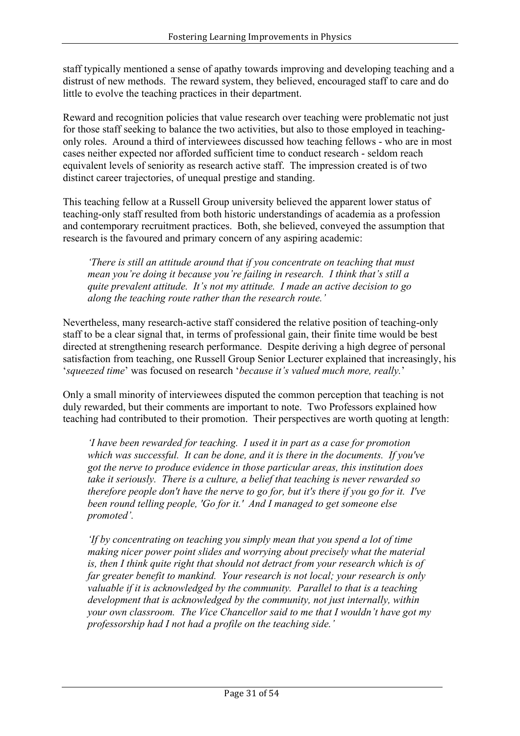staff typically mentioned a sense of apathy towards improving and developing teaching and a distrust of new methods. The reward system, they believed, encouraged staff to care and do little to evolve the teaching practices in their department.

Reward and recognition policies that value research over teaching were problematic not just for those staff seeking to balance the two activities, but also to those employed in teachingonly roles. Around a third of interviewees discussed how teaching fellows - who are in most cases neither expected nor afforded sufficient time to conduct research - seldom reach equivalent levels of seniority as research active staff. The impression created is of two distinct career trajectories, of unequal prestige and standing.

This teaching fellow at a Russell Group university believed the apparent lower status of teaching-only staff resulted from both historic understandings of academia as a profession and contemporary recruitment practices. Both, she believed, conveyed the assumption that research is the favoured and primary concern of any aspiring academic:

*'There is still an attitude around that if you concentrate on teaching that must mean you're doing it because you're failing in research. I think that's still a quite prevalent attitude. It's not my attitude. I made an active decision to go along the teaching route rather than the research route.'*

Nevertheless, many research-active staff considered the relative position of teaching-only staff to be a clear signal that, in terms of professional gain, their finite time would be best directed at strengthening research performance. Despite deriving a high degree of personal satisfaction from teaching, one Russell Group Senior Lecturer explained that increasingly, his '*squeezed time*' was focused on research '*because it's valued much more, really.*'

Only a small minority of interviewees disputed the common perception that teaching is not duly rewarded, but their comments are important to note. Two Professors explained how teaching had contributed to their promotion. Their perspectives are worth quoting at length:

*'I have been rewarded for teaching. I used it in part as a case for promotion which was successful. It can be done, and it is there in the documents. If you've got the nerve to produce evidence in those particular areas, this institution does take it seriously. There is a culture, a belief that teaching is never rewarded so therefore people don't have the nerve to go for, but it's there if you go for it. I've been round telling people, 'Go for it.' And I managed to get someone else promoted'.*

*'If by concentrating on teaching you simply mean that you spend a lot of time making nicer power point slides and worrying about precisely what the material is, then I think quite right that should not detract from your research which is of far greater benefit to mankind. Your research is not local; your research is only valuable if it is acknowledged by the community. Parallel to that is a teaching development that is acknowledged by the community, not just internally, within your own classroom. The Vice Chancellor said to me that I wouldn't have got my professorship had I not had a profile on the teaching side.'*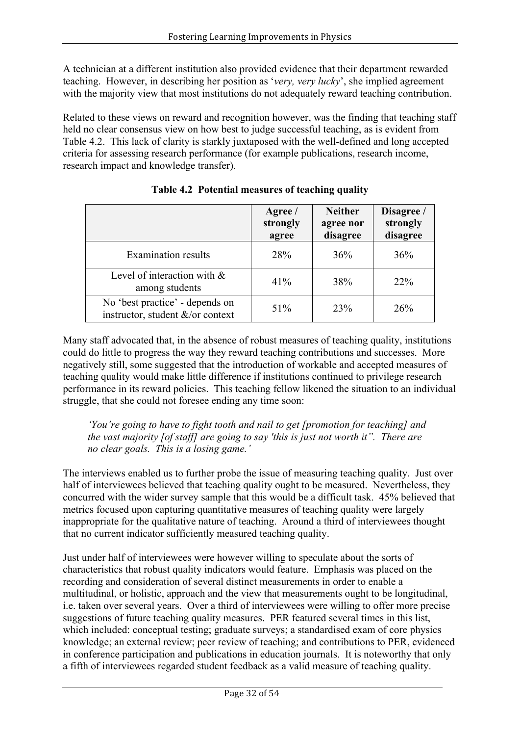A technician at a different institution also provided evidence that their department rewarded teaching. However, in describing her position as '*very, very lucky*', she implied agreement with the majority view that most institutions do not adequately reward teaching contribution.

Related to these views on reward and recognition however, was the finding that teaching staff held no clear consensus view on how best to judge successful teaching, as is evident from Table 4.2. This lack of clarity is starkly juxtaposed with the well-defined and long accepted criteria for assessing research performance (for example publications, research income, research impact and knowledge transfer).

|                                                                     | Agree /<br>strongly<br>agree | <b>Neither</b><br>agree nor<br>disagree | Disagree /<br>strongly<br>disagree |
|---------------------------------------------------------------------|------------------------------|-----------------------------------------|------------------------------------|
| <b>Examination results</b>                                          | 28%                          | 36%                                     | 36%                                |
| Level of interaction with $\&$<br>among students                    | 41%                          | 38%                                     | <b>22%</b>                         |
| No 'best practice' - depends on<br>instructor, student &/or context | 51%                          | 23%                                     | 26%                                |

**Table 4.2 Potential measures of teaching quality**

Many staff advocated that, in the absence of robust measures of teaching quality, institutions could do little to progress the way they reward teaching contributions and successes. More negatively still, some suggested that the introduction of workable and accepted measures of teaching quality would make little difference if institutions continued to privilege research performance in its reward policies. This teaching fellow likened the situation to an individual struggle, that she could not foresee ending any time soon:

*'You're going to have to fight tooth and nail to get [promotion for teaching] and the vast majority [of staff] are going to say 'this is just not worth it". There are no clear goals. This is a losing game.'*

The interviews enabled us to further probe the issue of measuring teaching quality. Just over half of interviewees believed that teaching quality ought to be measured. Nevertheless, they concurred with the wider survey sample that this would be a difficult task. 45% believed that metrics focused upon capturing quantitative measures of teaching quality were largely inappropriate for the qualitative nature of teaching. Around a third of interviewees thought that no current indicator sufficiently measured teaching quality.

Just under half of interviewees were however willing to speculate about the sorts of characteristics that robust quality indicators would feature. Emphasis was placed on the recording and consideration of several distinct measurements in order to enable a multitudinal, or holistic, approach and the view that measurements ought to be longitudinal, i.e. taken over several years. Over a third of interviewees were willing to offer more precise suggestions of future teaching quality measures. PER featured several times in this list, which included: conceptual testing; graduate surveys; a standardised exam of core physics knowledge; an external review; peer review of teaching; and contributions to PER, evidenced in conference participation and publications in education journals. It is noteworthy that only a fifth of interviewees regarded student feedback as a valid measure of teaching quality.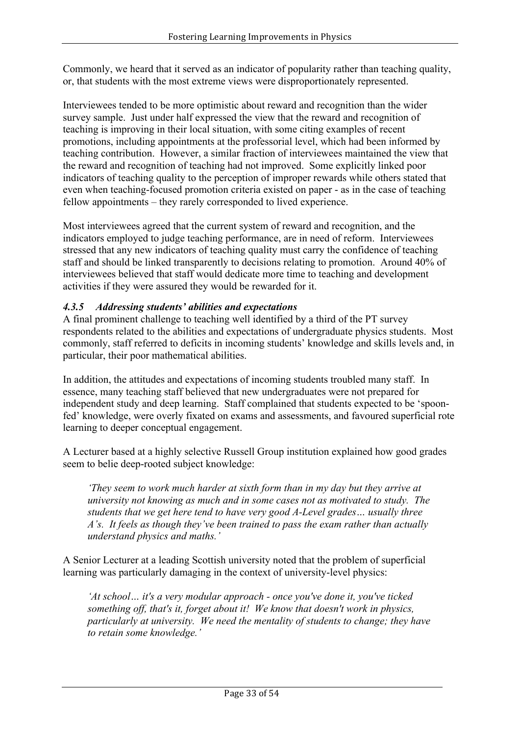Commonly, we heard that it served as an indicator of popularity rather than teaching quality, or, that students with the most extreme views were disproportionately represented.

Interviewees tended to be more optimistic about reward and recognition than the wider survey sample. Just under half expressed the view that the reward and recognition of teaching is improving in their local situation, with some citing examples of recent promotions, including appointments at the professorial level, which had been informed by teaching contribution. However, a similar fraction of interviewees maintained the view that the reward and recognition of teaching had not improved. Some explicitly linked poor indicators of teaching quality to the perception of improper rewards while others stated that even when teaching-focused promotion criteria existed on paper - as in the case of teaching fellow appointments – they rarely corresponded to lived experience.

Most interviewees agreed that the current system of reward and recognition, and the indicators employed to judge teaching performance, are in need of reform. Interviewees stressed that any new indicators of teaching quality must carry the confidence of teaching staff and should be linked transparently to decisions relating to promotion. Around 40% of interviewees believed that staff would dedicate more time to teaching and development activities if they were assured they would be rewarded for it.

### *4.3.5 Addressing students' abilities and expectations*

A final prominent challenge to teaching well identified by a third of the PT survey respondents related to the abilities and expectations of undergraduate physics students. Most commonly, staff referred to deficits in incoming students' knowledge and skills levels and, in particular, their poor mathematical abilities.

In addition, the attitudes and expectations of incoming students troubled many staff. In essence, many teaching staff believed that new undergraduates were not prepared for independent study and deep learning. Staff complained that students expected to be 'spoonfed' knowledge, were overly fixated on exams and assessments, and favoured superficial rote learning to deeper conceptual engagement.

A Lecturer based at a highly selective Russell Group institution explained how good grades seem to belie deep-rooted subject knowledge:

*'They seem to work much harder at sixth form than in my day but they arrive at university not knowing as much and in some cases not as motivated to study. The students that we get here tend to have very good A-Level grades… usually three A's. It feels as though they've been trained to pass the exam rather than actually understand physics and maths.'*

A Senior Lecturer at a leading Scottish university noted that the problem of superficial learning was particularly damaging in the context of university-level physics:

*'At school… it's a very modular approach - once you've done it, you've ticked something off, that's it, forget about it! We know that doesn't work in physics, particularly at university. We need the mentality of students to change; they have to retain some knowledge.'*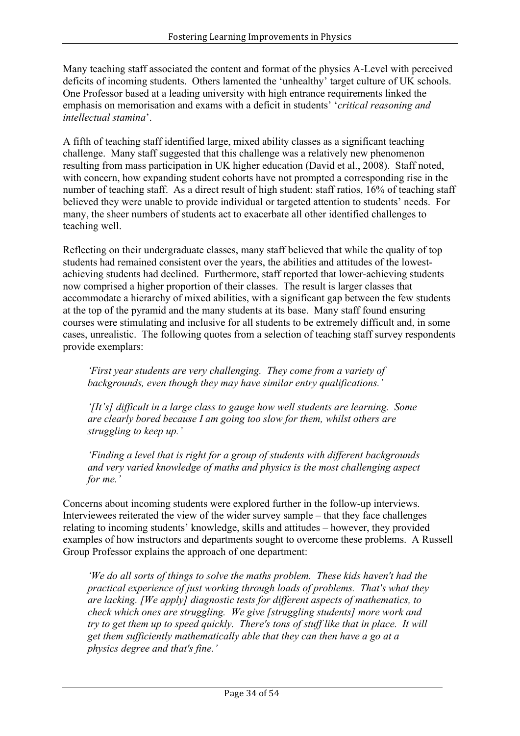Many teaching staff associated the content and format of the physics A-Level with perceived deficits of incoming students. Others lamented the 'unhealthy' target culture of UK schools. One Professor based at a leading university with high entrance requirements linked the emphasis on memorisation and exams with a deficit in students' '*critical reasoning and intellectual stamina*'.

A fifth of teaching staff identified large, mixed ability classes as a significant teaching challenge. Many staff suggested that this challenge was a relatively new phenomenon resulting from mass participation in UK higher education (David et al., 2008). Staff noted, with concern, how expanding student cohorts have not prompted a corresponding rise in the number of teaching staff. As a direct result of high student: staff ratios, 16% of teaching staff believed they were unable to provide individual or targeted attention to students' needs. For many, the sheer numbers of students act to exacerbate all other identified challenges to teaching well.

Reflecting on their undergraduate classes, many staff believed that while the quality of top students had remained consistent over the years, the abilities and attitudes of the lowestachieving students had declined. Furthermore, staff reported that lower-achieving students now comprised a higher proportion of their classes. The result is larger classes that accommodate a hierarchy of mixed abilities, with a significant gap between the few students at the top of the pyramid and the many students at its base. Many staff found ensuring courses were stimulating and inclusive for all students to be extremely difficult and, in some cases, unrealistic. The following quotes from a selection of teaching staff survey respondents provide exemplars:

*'First year students are very challenging. They come from a variety of backgrounds, even though they may have similar entry qualifications.'* 

*'[It's] difficult in a large class to gauge how well students are learning. Some are clearly bored because I am going too slow for them, whilst others are struggling to keep up.'*

*'Finding a level that is right for a group of students with different backgrounds and very varied knowledge of maths and physics is the most challenging aspect for me.'*

Concerns about incoming students were explored further in the follow-up interviews. Interviewees reiterated the view of the wider survey sample – that they face challenges relating to incoming students' knowledge, skills and attitudes – however, they provided examples of how instructors and departments sought to overcome these problems. A Russell Group Professor explains the approach of one department:

*'We do all sorts of things to solve the maths problem. These kids haven't had the practical experience of just working through loads of problems. That's what they are lacking. [We apply] diagnostic tests for different aspects of mathematics, to check which ones are struggling. We give [struggling students] more work and try to get them up to speed quickly. There's tons of stuff like that in place. It will get them sufficiently mathematically able that they can then have a go at a physics degree and that's fine.'*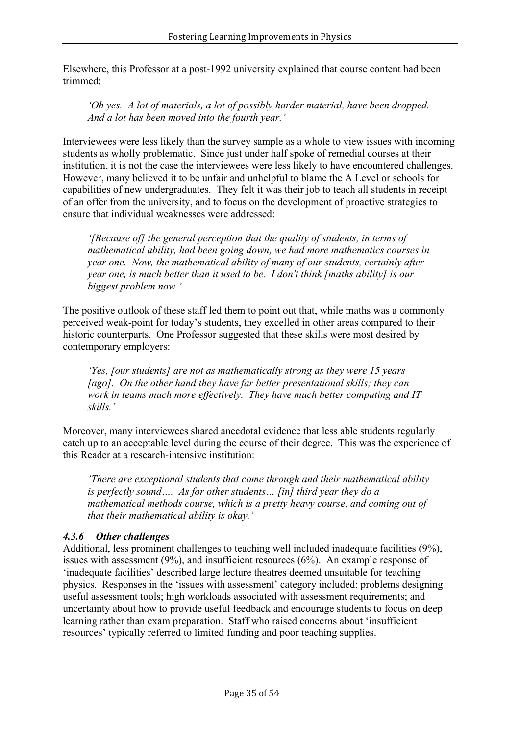Elsewhere, this Professor at a post-1992 university explained that course content had been trimmed:

*'Oh yes. A lot of materials, a lot of possibly harder material, have been dropped. And a lot has been moved into the fourth year.'*

Interviewees were less likely than the survey sample as a whole to view issues with incoming students as wholly problematic. Since just under half spoke of remedial courses at their institution, it is not the case the interviewees were less likely to have encountered challenges. However, many believed it to be unfair and unhelpful to blame the A Level or schools for capabilities of new undergraduates. They felt it was their job to teach all students in receipt of an offer from the university, and to focus on the development of proactive strategies to ensure that individual weaknesses were addressed:

*'[Because of] the general perception that the quality of students, in terms of mathematical ability, had been going down, we had more mathematics courses in year one. Now, the mathematical ability of many of our students, certainly after year one, is much better than it used to be. I don't think [maths ability] is our biggest problem now.'*

The positive outlook of these staff led them to point out that, while maths was a commonly perceived weak-point for today's students, they excelled in other areas compared to their historic counterparts. One Professor suggested that these skills were most desired by contemporary employers:

*'Yes, [our students] are not as mathematically strong as they were 15 years [ago]. On the other hand they have far better presentational skills; they can work in teams much more effectively. They have much better computing and IT skills.'*

Moreover, many interviewees shared anecdotal evidence that less able students regularly catch up to an acceptable level during the course of their degree. This was the experience of this Reader at a research-intensive institution:

*'There are exceptional students that come through and their mathematical ability is perfectly sound…. As for other students… [in] third year they do a mathematical methods course, which is a pretty heavy course, and coming out of that their mathematical ability is okay.'*

### *4.3.6 Other challenges*

Additional, less prominent challenges to teaching well included inadequate facilities (9%), issues with assessment (9%), and insufficient resources (6%). An example response of 'inadequate facilities' described large lecture theatres deemed unsuitable for teaching physics. Responses in the 'issues with assessment' category included: problems designing useful assessment tools; high workloads associated with assessment requirements; and uncertainty about how to provide useful feedback and encourage students to focus on deep learning rather than exam preparation. Staff who raised concerns about 'insufficient resources' typically referred to limited funding and poor teaching supplies.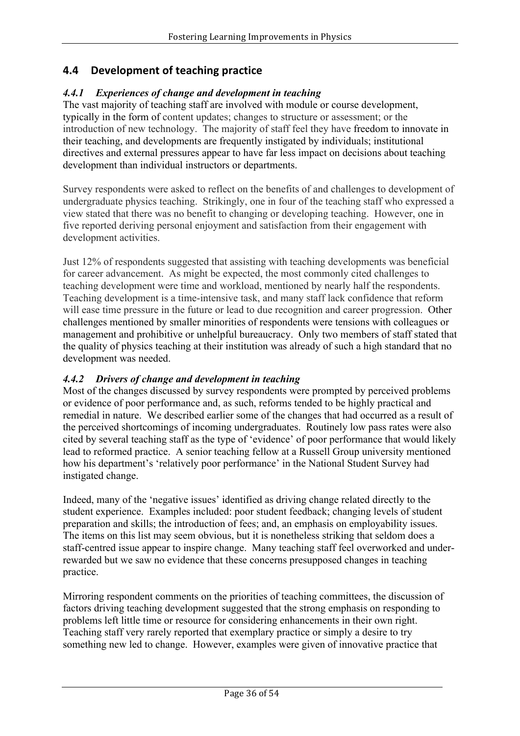## **4.4 Development of teaching practice**

### *4.4.1 Experiences of change and development in teaching*

The vast majority of teaching staff are involved with module or course development, typically in the form of content updates; changes to structure or assessment; or the introduction of new technology. The majority of staff feel they have freedom to innovate in their teaching, and developments are frequently instigated by individuals; institutional directives and external pressures appear to have far less impact on decisions about teaching development than individual instructors or departments.

Survey respondents were asked to reflect on the benefits of and challenges to development of undergraduate physics teaching. Strikingly, one in four of the teaching staff who expressed a view stated that there was no benefit to changing or developing teaching. However, one in five reported deriving personal enjoyment and satisfaction from their engagement with development activities.

Just 12% of respondents suggested that assisting with teaching developments was beneficial for career advancement. As might be expected, the most commonly cited challenges to teaching development were time and workload, mentioned by nearly half the respondents. Teaching development is a time-intensive task, and many staff lack confidence that reform will ease time pressure in the future or lead to due recognition and career progression. Other challenges mentioned by smaller minorities of respondents were tensions with colleagues or management and prohibitive or unhelpful bureaucracy. Only two members of staff stated that the quality of physics teaching at their institution was already of such a high standard that no development was needed.

### *4.4.2 Drivers of change and development in teaching*

Most of the changes discussed by survey respondents were prompted by perceived problems or evidence of poor performance and, as such, reforms tended to be highly practical and remedial in nature. We described earlier some of the changes that had occurred as a result of the perceived shortcomings of incoming undergraduates. Routinely low pass rates were also cited by several teaching staff as the type of 'evidence' of poor performance that would likely lead to reformed practice. A senior teaching fellow at a Russell Group university mentioned how his department's 'relatively poor performance' in the National Student Survey had instigated change.

Indeed, many of the 'negative issues' identified as driving change related directly to the student experience. Examples included: poor student feedback; changing levels of student preparation and skills; the introduction of fees; and, an emphasis on employability issues. The items on this list may seem obvious, but it is nonetheless striking that seldom does a staff-centred issue appear to inspire change. Many teaching staff feel overworked and underrewarded but we saw no evidence that these concerns presupposed changes in teaching practice.

Mirroring respondent comments on the priorities of teaching committees, the discussion of factors driving teaching development suggested that the strong emphasis on responding to problems left little time or resource for considering enhancements in their own right. Teaching staff very rarely reported that exemplary practice or simply a desire to try something new led to change. However, examples were given of innovative practice that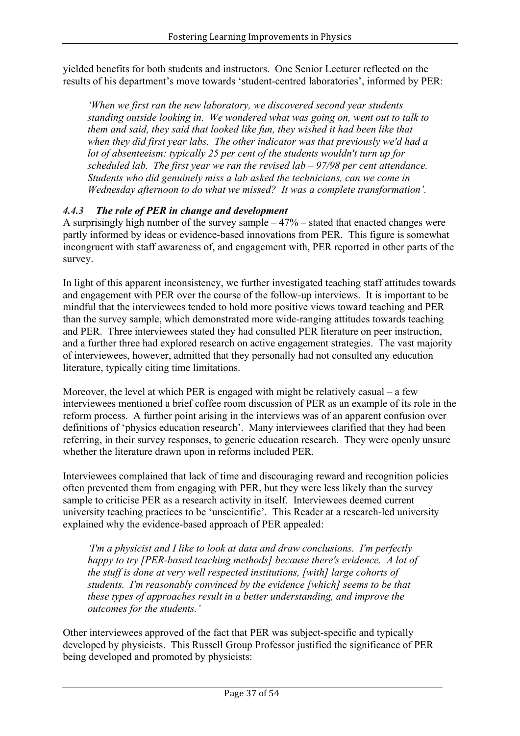yielded benefits for both students and instructors. One Senior Lecturer reflected on the results of his department's move towards 'student-centred laboratories', informed by PER:

*'When we first ran the new laboratory, we discovered second year students standing outside looking in. We wondered what was going on, went out to talk to them and said, they said that looked like fun, they wished it had been like that when they did first year labs. The other indicator was that previously we'd had a lot of absenteeism: typically 25 per cent of the students wouldn't turn up for scheduled lab. The first year we ran the revised lab – 97/98 per cent attendance. Students who did genuinely miss a lab asked the technicians, can we come in Wednesday afternoon to do what we missed? It was a complete transformation'.*

### *4.4.3 The role of PER in change and development*

A surprisingly high number of the survey sample – 47% – stated that enacted changes were partly informed by ideas or evidence-based innovations from PER. This figure is somewhat incongruent with staff awareness of, and engagement with, PER reported in other parts of the survey.

In light of this apparent inconsistency, we further investigated teaching staff attitudes towards and engagement with PER over the course of the follow-up interviews. It is important to be mindful that the interviewees tended to hold more positive views toward teaching and PER than the survey sample, which demonstrated more wide-ranging attitudes towards teaching and PER. Three interviewees stated they had consulted PER literature on peer instruction, and a further three had explored research on active engagement strategies. The vast majority of interviewees, however, admitted that they personally had not consulted any education literature, typically citing time limitations.

Moreover, the level at which PER is engaged with might be relatively casual – a few interviewees mentioned a brief coffee room discussion of PER as an example of its role in the reform process. A further point arising in the interviews was of an apparent confusion over definitions of 'physics education research'. Many interviewees clarified that they had been referring, in their survey responses, to generic education research. They were openly unsure whether the literature drawn upon in reforms included PER.

Interviewees complained that lack of time and discouraging reward and recognition policies often prevented them from engaging with PER, but they were less likely than the survey sample to criticise PER as a research activity in itself. Interviewees deemed current university teaching practices to be 'unscientific'. This Reader at a research-led university explained why the evidence-based approach of PER appealed:

*'I'm a physicist and I like to look at data and draw conclusions. I'm perfectly happy to try [PER-based teaching methods] because there's evidence. A lot of the stuff is done at very well respected institutions, [with] large cohorts of students. I'm reasonably convinced by the evidence [which] seems to be that these types of approaches result in a better understanding, and improve the outcomes for the students.'*

Other interviewees approved of the fact that PER was subject-specific and typically developed by physicists. This Russell Group Professor justified the significance of PER being developed and promoted by physicists: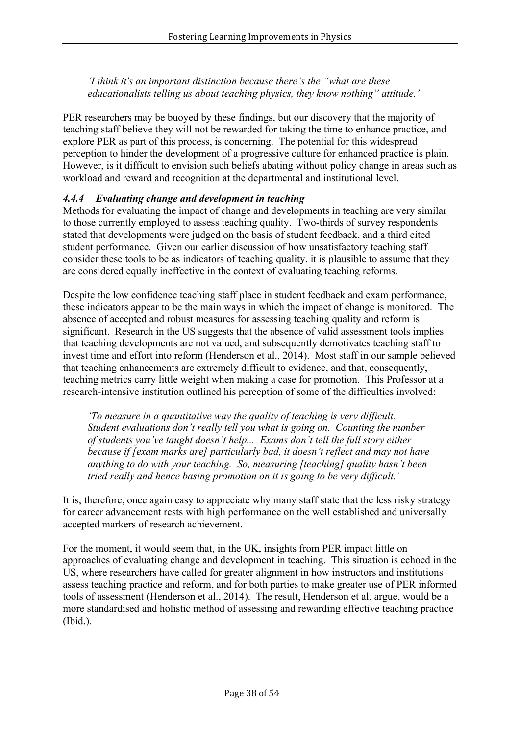*'I think it's an important distinction because there's the "what are these educationalists telling us about teaching physics, they know nothing" attitude.'*

PER researchers may be buoyed by these findings, but our discovery that the majority of teaching staff believe they will not be rewarded for taking the time to enhance practice, and explore PER as part of this process, is concerning. The potential for this widespread perception to hinder the development of a progressive culture for enhanced practice is plain. However, is it difficult to envision such beliefs abating without policy change in areas such as workload and reward and recognition at the departmental and institutional level.

### *4.4.4 Evaluating change and development in teaching*

Methods for evaluating the impact of change and developments in teaching are very similar to those currently employed to assess teaching quality. Two-thirds of survey respondents stated that developments were judged on the basis of student feedback, and a third cited student performance. Given our earlier discussion of how unsatisfactory teaching staff consider these tools to be as indicators of teaching quality, it is plausible to assume that they are considered equally ineffective in the context of evaluating teaching reforms.

Despite the low confidence teaching staff place in student feedback and exam performance, these indicators appear to be the main ways in which the impact of change is monitored. The absence of accepted and robust measures for assessing teaching quality and reform is significant. Research in the US suggests that the absence of valid assessment tools implies that teaching developments are not valued, and subsequently demotivates teaching staff to invest time and effort into reform (Henderson et al., 2014). Most staff in our sample believed that teaching enhancements are extremely difficult to evidence, and that, consequently, teaching metrics carry little weight when making a case for promotion. This Professor at a research-intensive institution outlined his perception of some of the difficulties involved:

*'To measure in a quantitative way the quality of teaching is very difficult. Student evaluations don't really tell you what is going on. Counting the number of students you've taught doesn't help... Exams don't tell the full story either because if [exam marks are] particularly bad, it doesn't reflect and may not have anything to do with your teaching. So, measuring [teaching] quality hasn't been tried really and hence basing promotion on it is going to be very difficult.'*

It is, therefore, once again easy to appreciate why many staff state that the less risky strategy for career advancement rests with high performance on the well established and universally accepted markers of research achievement.

For the moment, it would seem that, in the UK, insights from PER impact little on approaches of evaluating change and development in teaching. This situation is echoed in the US, where researchers have called for greater alignment in how instructors and institutions assess teaching practice and reform, and for both parties to make greater use of PER informed tools of assessment (Henderson et al., 2014). The result, Henderson et al. argue, would be a more standardised and holistic method of assessing and rewarding effective teaching practice (Ibid.).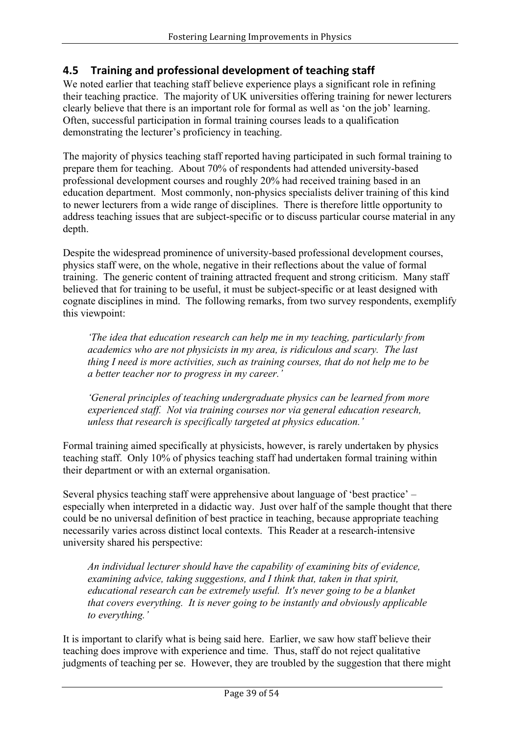## **4.5 Training and professional development of teaching staff**

We noted earlier that teaching staff believe experience plays a significant role in refining their teaching practice. The majority of UK universities offering training for newer lecturers clearly believe that there is an important role for formal as well as 'on the job' learning. Often, successful participation in formal training courses leads to a qualification demonstrating the lecturer's proficiency in teaching.

The majority of physics teaching staff reported having participated in such formal training to prepare them for teaching. About 70% of respondents had attended university-based professional development courses and roughly 20% had received training based in an education department. Most commonly, non-physics specialists deliver training of this kind to newer lecturers from a wide range of disciplines. There is therefore little opportunity to address teaching issues that are subject-specific or to discuss particular course material in any depth.

Despite the widespread prominence of university-based professional development courses, physics staff were, on the whole, negative in their reflections about the value of formal training. The generic content of training attracted frequent and strong criticism. Many staff believed that for training to be useful, it must be subject-specific or at least designed with cognate disciplines in mind. The following remarks, from two survey respondents, exemplify this viewpoint:

*'The idea that education research can help me in my teaching, particularly from academics who are not physicists in my area, is ridiculous and scary. The last thing I need is more activities, such as training courses, that do not help me to be a better teacher nor to progress in my career.'*

*'General principles of teaching undergraduate physics can be learned from more experienced staff. Not via training courses nor via general education research, unless that research is specifically targeted at physics education.'*

Formal training aimed specifically at physicists, however, is rarely undertaken by physics teaching staff. Only 10% of physics teaching staff had undertaken formal training within their department or with an external organisation.

Several physics teaching staff were apprehensive about language of 'best practice' – especially when interpreted in a didactic way. Just over half of the sample thought that there could be no universal definition of best practice in teaching, because appropriate teaching necessarily varies across distinct local contexts. This Reader at a research-intensive university shared his perspective:

*An individual lecturer should have the capability of examining bits of evidence, examining advice, taking suggestions, and I think that, taken in that spirit, educational research can be extremely useful. It's never going to be a blanket that covers everything. It is never going to be instantly and obviously applicable to everything.'*

It is important to clarify what is being said here. Earlier, we saw how staff believe their teaching does improve with experience and time. Thus, staff do not reject qualitative judgments of teaching per se. However, they are troubled by the suggestion that there might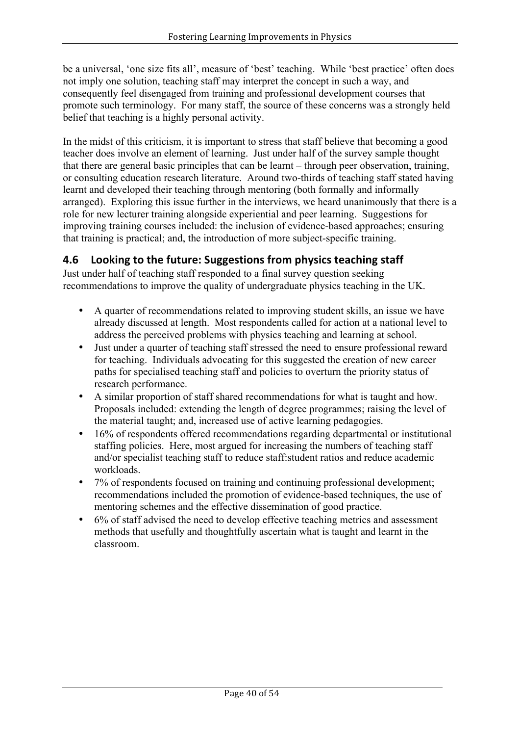be a universal, 'one size fits all', measure of 'best' teaching. While 'best practice' often does not imply one solution, teaching staff may interpret the concept in such a way, and consequently feel disengaged from training and professional development courses that promote such terminology. For many staff, the source of these concerns was a strongly held belief that teaching is a highly personal activity.

In the midst of this criticism, it is important to stress that staff believe that becoming a good teacher does involve an element of learning. Just under half of the survey sample thought that there are general basic principles that can be learnt – through peer observation, training, or consulting education research literature. Around two-thirds of teaching staff stated having learnt and developed their teaching through mentoring (both formally and informally arranged). Exploring this issue further in the interviews, we heard unanimously that there is a role for new lecturer training alongside experiential and peer learning. Suggestions for improving training courses included: the inclusion of evidence-based approaches; ensuring that training is practical; and, the introduction of more subject-specific training.

## **4.6** Looking to the future: Suggestions from physics teaching staff

Just under half of teaching staff responded to a final survey question seeking recommendations to improve the quality of undergraduate physics teaching in the UK.

- A quarter of recommendations related to improving student skills, an issue we have already discussed at length. Most respondents called for action at a national level to address the perceived problems with physics teaching and learning at school.
- Just under a quarter of teaching staff stressed the need to ensure professional reward for teaching. Individuals advocating for this suggested the creation of new career paths for specialised teaching staff and policies to overturn the priority status of research performance.
- A similar proportion of staff shared recommendations for what is taught and how. Proposals included: extending the length of degree programmes; raising the level of the material taught; and, increased use of active learning pedagogies.
- 16% of respondents offered recommendations regarding departmental or institutional staffing policies. Here, most argued for increasing the numbers of teaching staff and/or specialist teaching staff to reduce staff:student ratios and reduce academic workloads.
- 7% of respondents focused on training and continuing professional development; recommendations included the promotion of evidence-based techniques, the use of mentoring schemes and the effective dissemination of good practice.
- 6% of staff advised the need to develop effective teaching metrics and assessment methods that usefully and thoughtfully ascertain what is taught and learnt in the classroom.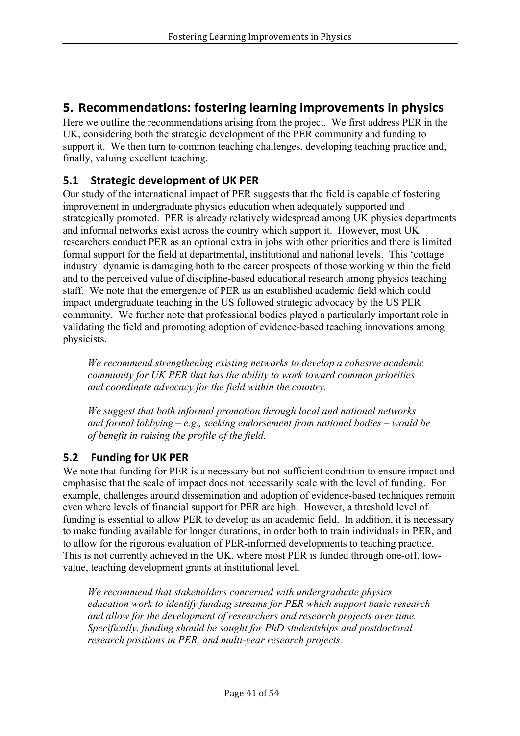## **5.** Recommendations: fostering learning improvements in physics

Here we outline the recommendations arising from the project. We first address PER in the UK, considering both the strategic development of the PER community and funding to support it. We then turn to common teaching challenges, developing teaching practice and, finally, valuing excellent teaching.

## **5.1 Strategic development of UK PER**

Our study of the international impact of PER suggests that the field is capable of fostering improvement in undergraduate physics education when adequately supported and strategically promoted. PER is already relatively widespread among UK physics departments and informal networks exist across the country which support it. However, most UK researchers conduct PER as an optional extra in jobs with other priorities and there is limited formal support for the field at departmental, institutional and national levels. This 'cottage industry' dynamic is damaging both to the career prospects of those working within the field and to the perceived value of discipline-based educational research among physics teaching staff. We note that the emergence of PER as an established academic field which could impact undergraduate teaching in the US followed strategic advocacy by the US PER community. We further note that professional bodies played a particularly important role in validating the field and promoting adoption of evidence-based teaching innovations among physicists.

*We recommend strengthening existing networks to develop a cohesive academic community for UK PER that has the ability to work toward common priorities and coordinate advocacy for the field within the country.*

*We suggest that both informal promotion through local and national networks and formal lobbying – e.g., seeking endorsement from national bodies – would be of benefit in raising the profile of the field.* 

### **5.2 Funding for UK PER**

We note that funding for PER is a necessary but not sufficient condition to ensure impact and emphasise that the scale of impact does not necessarily scale with the level of funding. For example, challenges around dissemination and adoption of evidence-based techniques remain even where levels of financial support for PER are high. However, a threshold level of funding is essential to allow PER to develop as an academic field. In addition, it is necessary to make funding available for longer durations, in order both to train individuals in PER, and to allow for the rigorous evaluation of PER-informed developments to teaching practice. This is not currently achieved in the UK, where most PER is funded through one-off, lowvalue, teaching development grants at institutional level.

*We recommend that stakeholders concerned with undergraduate physics education work to identify funding streams for PER which support basic research and allow for the development of researchers and research projects over time. Specifically, funding should be sought for PhD studentships and postdoctoral research positions in PER, and multi-year research projects.*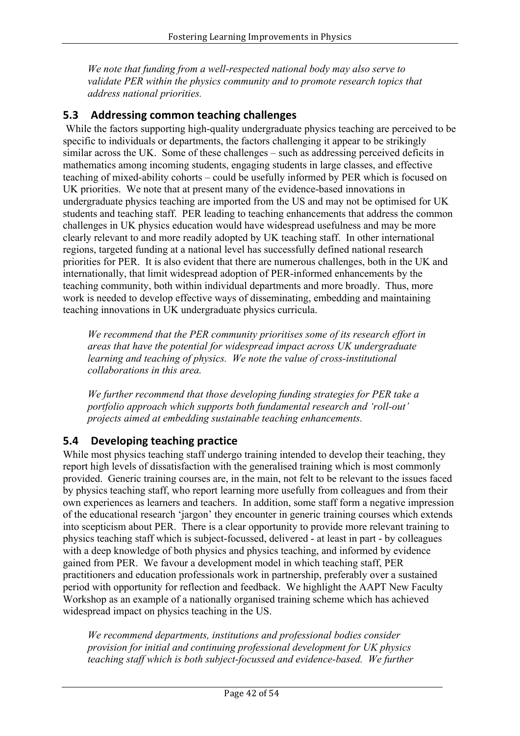*We note that funding from a well-respected national body may also serve to validate PER within the physics community and to promote research topics that address national priorities.*

## **5.3** Addressing common teaching challenges

While the factors supporting high-quality undergraduate physics teaching are perceived to be specific to individuals or departments, the factors challenging it appear to be strikingly similar across the UK. Some of these challenges – such as addressing perceived deficits in mathematics among incoming students, engaging students in large classes, and effective teaching of mixed-ability cohorts – could be usefully informed by PER which is focused on UK priorities. We note that at present many of the evidence-based innovations in undergraduate physics teaching are imported from the US and may not be optimised for UK students and teaching staff. PER leading to teaching enhancements that address the common challenges in UK physics education would have widespread usefulness and may be more clearly relevant to and more readily adopted by UK teaching staff. In other international regions, targeted funding at a national level has successfully defined national research priorities for PER. It is also evident that there are numerous challenges, both in the UK and internationally, that limit widespread adoption of PER-informed enhancements by the teaching community, both within individual departments and more broadly. Thus, more work is needed to develop effective ways of disseminating, embedding and maintaining teaching innovations in UK undergraduate physics curricula.

*We recommend that the PER community prioritises some of its research effort in areas that have the potential for widespread impact across UK undergraduate learning and teaching of physics. We note the value of cross-institutional collaborations in this area.*

*We further recommend that those developing funding strategies for PER take a portfolio approach which supports both fundamental research and 'roll-out' projects aimed at embedding sustainable teaching enhancements.*

### **5.4 Developing teaching practice**

While most physics teaching staff undergo training intended to develop their teaching, they report high levels of dissatisfaction with the generalised training which is most commonly provided. Generic training courses are, in the main, not felt to be relevant to the issues faced by physics teaching staff, who report learning more usefully from colleagues and from their own experiences as learners and teachers. In addition, some staff form a negative impression of the educational research 'jargon' they encounter in generic training courses which extends into scepticism about PER. There is a clear opportunity to provide more relevant training to physics teaching staff which is subject-focussed, delivered - at least in part - by colleagues with a deep knowledge of both physics and physics teaching, and informed by evidence gained from PER. We favour a development model in which teaching staff, PER practitioners and education professionals work in partnership, preferably over a sustained period with opportunity for reflection and feedback. We highlight the AAPT New Faculty Workshop as an example of a nationally organised training scheme which has achieved widespread impact on physics teaching in the US.

*We recommend departments, institutions and professional bodies consider provision for initial and continuing professional development for UK physics teaching staff which is both subject-focussed and evidence-based. We further*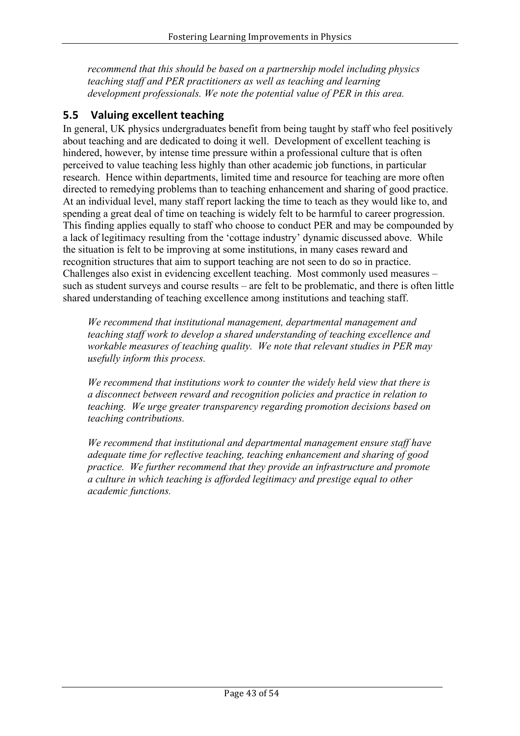*recommend that this should be based on a partnership model including physics teaching staff and PER practitioners as well as teaching and learning development professionals. We note the potential value of PER in this area.*

## **5.5 Valuing excellent teaching**

In general, UK physics undergraduates benefit from being taught by staff who feel positively about teaching and are dedicated to doing it well. Development of excellent teaching is hindered, however, by intense time pressure within a professional culture that is often perceived to value teaching less highly than other academic job functions, in particular research. Hence within departments, limited time and resource for teaching are more often directed to remedying problems than to teaching enhancement and sharing of good practice. At an individual level, many staff report lacking the time to teach as they would like to, and spending a great deal of time on teaching is widely felt to be harmful to career progression. This finding applies equally to staff who choose to conduct PER and may be compounded by a lack of legitimacy resulting from the 'cottage industry' dynamic discussed above. While the situation is felt to be improving at some institutions, in many cases reward and recognition structures that aim to support teaching are not seen to do so in practice. Challenges also exist in evidencing excellent teaching. Most commonly used measures – such as student surveys and course results – are felt to be problematic, and there is often little shared understanding of teaching excellence among institutions and teaching staff.

*We recommend that institutional management, departmental management and teaching staff work to develop a shared understanding of teaching excellence and workable measures of teaching quality. We note that relevant studies in PER may usefully inform this process.*

*We recommend that institutions work to counter the widely held view that there is a disconnect between reward and recognition policies and practice in relation to teaching. We urge greater transparency regarding promotion decisions based on teaching contributions.*

*We recommend that institutional and departmental management ensure staff have adequate time for reflective teaching, teaching enhancement and sharing of good practice. We further recommend that they provide an infrastructure and promote a culture in which teaching is afforded legitimacy and prestige equal to other academic functions.*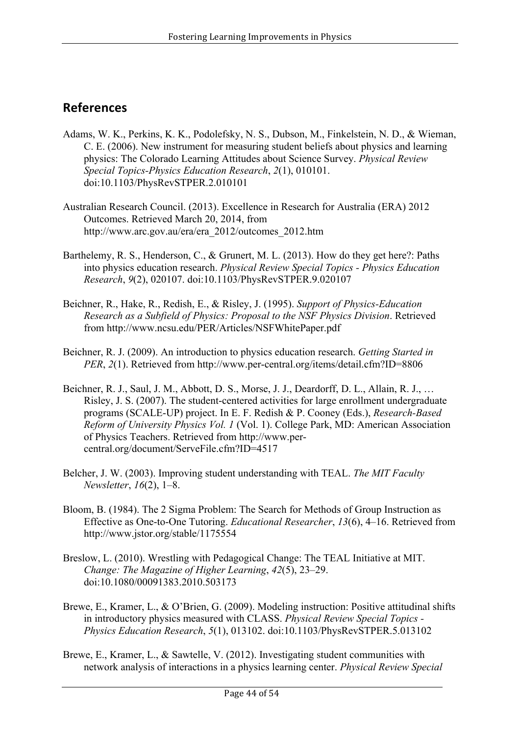## **References**

- Adams, W. K., Perkins, K. K., Podolefsky, N. S., Dubson, M., Finkelstein, N. D., & Wieman, C. E. (2006). New instrument for measuring student beliefs about physics and learning physics: The Colorado Learning Attitudes about Science Survey. *Physical Review Special Topics-Physics Education Research*, *2*(1), 010101. doi:10.1103/PhysRevSTPER.2.010101
- Australian Research Council. (2013). Excellence in Research for Australia (ERA) 2012 Outcomes. Retrieved March 20, 2014, from http://www.arc.gov.au/era/era\_2012/outcomes\_2012.htm
- Barthelemy, R. S., Henderson, C., & Grunert, M. L. (2013). How do they get here?: Paths into physics education research. *Physical Review Special Topics - Physics Education Research*, *9*(2), 020107. doi:10.1103/PhysRevSTPER.9.020107
- Beichner, R., Hake, R., Redish, E., & Risley, J. (1995). *Support of Physics-Education Research as a Subfield of Physics: Proposal to the NSF Physics Division*. Retrieved from http://www.ncsu.edu/PER/Articles/NSFWhitePaper.pdf
- Beichner, R. J. (2009). An introduction to physics education research. *Getting Started in PER*, *2*(1). Retrieved from http://www.per-central.org/items/detail.cfm?ID=8806
- Beichner, R. J., Saul, J. M., Abbott, D. S., Morse, J. J., Deardorff, D. L., Allain, R. J., … Risley, J. S. (2007). The student-centered activities for large enrollment undergraduate programs (SCALE-UP) project. In E. F. Redish & P. Cooney (Eds.), *Research-Based Reform of University Physics Vol. 1* (Vol. 1). College Park, MD: American Association of Physics Teachers. Retrieved from http://www.percentral.org/document/ServeFile.cfm?ID=4517
- Belcher, J. W. (2003). Improving student understanding with TEAL. *The MIT Faculty Newsletter*, *16*(2), 1–8.
- Bloom, B. (1984). The 2 Sigma Problem: The Search for Methods of Group Instruction as Effective as One-to-One Tutoring. *Educational Researcher*, *13*(6), 4–16. Retrieved from http://www.jstor.org/stable/1175554
- Breslow, L. (2010). Wrestling with Pedagogical Change: The TEAL Initiative at MIT. *Change: The Magazine of Higher Learning*, *42*(5), 23–29. doi:10.1080/00091383.2010.503173
- Brewe, E., Kramer, L., & O'Brien, G. (2009). Modeling instruction: Positive attitudinal shifts in introductory physics measured with CLASS. *Physical Review Special Topics - Physics Education Research*, *5*(1), 013102. doi:10.1103/PhysRevSTPER.5.013102
- Brewe, E., Kramer, L., & Sawtelle, V. (2012). Investigating student communities with network analysis of interactions in a physics learning center. *Physical Review Special*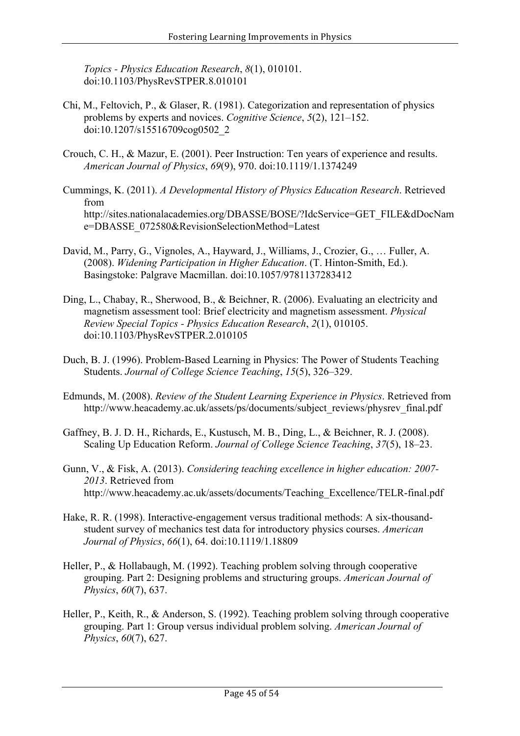*Topics - Physics Education Research*, *8*(1), 010101. doi:10.1103/PhysRevSTPER.8.010101

- Chi, M., Feltovich, P., & Glaser, R. (1981). Categorization and representation of physics problems by experts and novices. *Cognitive Science*, *5*(2), 121–152. doi:10.1207/s15516709cog0502\_2
- Crouch, C. H., & Mazur, E. (2001). Peer Instruction: Ten years of experience and results. *American Journal of Physics*, *69*(9), 970. doi:10.1119/1.1374249
- Cummings, K. (2011). *A Developmental History of Physics Education Research*. Retrieved from http://sites.nationalacademies.org/DBASSE/BOSE/?IdcService=GET\_FILE&dDocNam e=DBASSE\_072580&RevisionSelectionMethod=Latest
- David, M., Parry, G., Vignoles, A., Hayward, J., Williams, J., Crozier, G., … Fuller, A. (2008). *Widening Participation in Higher Education*. (T. Hinton-Smith, Ed.). Basingstoke: Palgrave Macmillan. doi:10.1057/9781137283412
- Ding, L., Chabay, R., Sherwood, B., & Beichner, R. (2006). Evaluating an electricity and magnetism assessment tool: Brief electricity and magnetism assessment. *Physical Review Special Topics - Physics Education Research*, *2*(1), 010105. doi:10.1103/PhysRevSTPER.2.010105
- Duch, B. J. (1996). Problem-Based Learning in Physics: The Power of Students Teaching Students. *Journal of College Science Teaching*, *15*(5), 326–329.
- Edmunds, M. (2008). *Review of the Student Learning Experience in Physics*. Retrieved from http://www.heacademy.ac.uk/assets/ps/documents/subject\_reviews/physrev\_final.pdf
- Gaffney, B. J. D. H., Richards, E., Kustusch, M. B., Ding, L., & Beichner, R. J. (2008). Scaling Up Education Reform. *Journal of College Science Teaching*, *37*(5), 18–23.
- Gunn, V., & Fisk, A. (2013). *Considering teaching excellence in higher education: 2007- 2013*. Retrieved from http://www.heacademy.ac.uk/assets/documents/Teaching\_Excellence/TELR-final.pdf
- Hake, R. R. (1998). Interactive-engagement versus traditional methods: A six-thousandstudent survey of mechanics test data for introductory physics courses. *American Journal of Physics*, *66*(1), 64. doi:10.1119/1.18809
- Heller, P., & Hollabaugh, M. (1992). Teaching problem solving through cooperative grouping. Part 2: Designing problems and structuring groups. *American Journal of Physics*, *60*(7), 637.
- Heller, P., Keith, R., & Anderson, S. (1992). Teaching problem solving through cooperative grouping. Part 1: Group versus individual problem solving. *American Journal of Physics*, *60*(7), 627.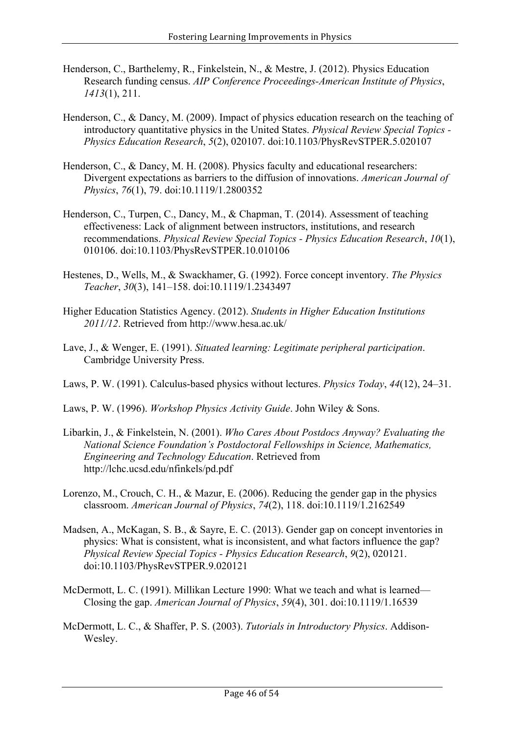- Henderson, C., Barthelemy, R., Finkelstein, N., & Mestre, J. (2012). Physics Education Research funding census. *AIP Conference Proceedings-American Institute of Physics*, *1413*(1), 211.
- Henderson, C., & Dancy, M. (2009). Impact of physics education research on the teaching of introductory quantitative physics in the United States. *Physical Review Special Topics - Physics Education Research*, *5*(2), 020107. doi:10.1103/PhysRevSTPER.5.020107
- Henderson, C., & Dancy, M. H. (2008). Physics faculty and educational researchers: Divergent expectations as barriers to the diffusion of innovations. *American Journal of Physics*, *76*(1), 79. doi:10.1119/1.2800352
- Henderson, C., Turpen, C., Dancy, M., & Chapman, T. (2014). Assessment of teaching effectiveness: Lack of alignment between instructors, institutions, and research recommendations. *Physical Review Special Topics - Physics Education Research*, *10*(1), 010106. doi:10.1103/PhysRevSTPER.10.010106
- Hestenes, D., Wells, M., & Swackhamer, G. (1992). Force concept inventory. *The Physics Teacher*, *30*(3), 141–158. doi:10.1119/1.2343497
- Higher Education Statistics Agency. (2012). *Students in Higher Education Institutions 2011/12*. Retrieved from http://www.hesa.ac.uk/
- Lave, J., & Wenger, E. (1991). *Situated learning: Legitimate peripheral participation*. Cambridge University Press.
- Laws, P. W. (1991). Calculus-based physics without lectures. *Physics Today*, *44*(12), 24–31.
- Laws, P. W. (1996). *Workshop Physics Activity Guide*. John Wiley & Sons.
- Libarkin, J., & Finkelstein, N. (2001). *Who Cares About Postdocs Anyway? Evaluating the National Science Foundation's Postdoctoral Fellowships in Science, Mathematics, Engineering and Technology Education*. Retrieved from http://lchc.ucsd.edu/nfinkels/pd.pdf
- Lorenzo, M., Crouch, C. H., & Mazur, E. (2006). Reducing the gender gap in the physics classroom. *American Journal of Physics*, *74*(2), 118. doi:10.1119/1.2162549
- Madsen, A., McKagan, S. B., & Sayre, E. C. (2013). Gender gap on concept inventories in physics: What is consistent, what is inconsistent, and what factors influence the gap? *Physical Review Special Topics - Physics Education Research*, *9*(2), 020121. doi:10.1103/PhysRevSTPER.9.020121
- McDermott, L. C. (1991). Millikan Lecture 1990: What we teach and what is learned— Closing the gap. *American Journal of Physics*, *59*(4), 301. doi:10.1119/1.16539
- McDermott, L. C., & Shaffer, P. S. (2003). *Tutorials in Introductory Physics*. Addison-Wesley.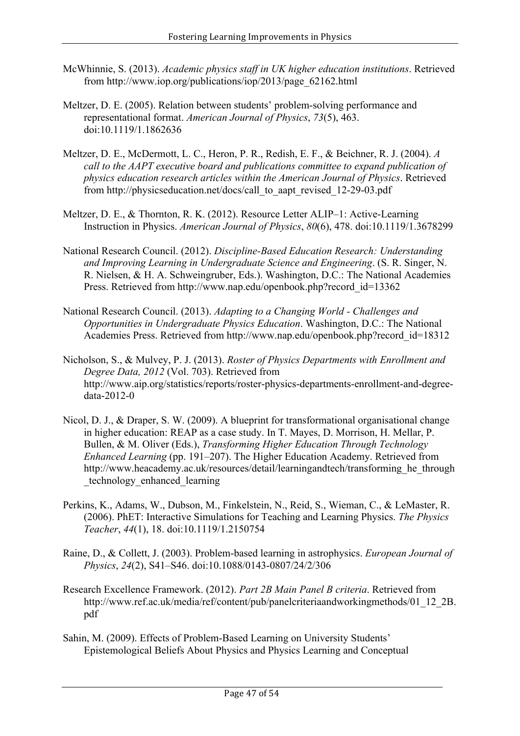- McWhinnie, S. (2013). *Academic physics staff in UK higher education institutions*. Retrieved from http://www.iop.org/publications/iop/2013/page\_62162.html
- Meltzer, D. E. (2005). Relation between students' problem-solving performance and representational format. *American Journal of Physics*, *73*(5), 463. doi:10.1119/1.1862636
- Meltzer, D. E., McDermott, L. C., Heron, P. R., Redish, E. F., & Beichner, R. J. (2004). *A call to the AAPT executive board and publications committee to expand publication of physics education research articles within the American Journal of Physics*. Retrieved from http://physicseducation.net/docs/call\_to\_aapt\_revised\_12-29-03.pdf
- Meltzer, D. E., & Thornton, R. K. (2012). Resource Letter ALIP–1: Active-Learning Instruction in Physics. *American Journal of Physics*, *80*(6), 478. doi:10.1119/1.3678299
- National Research Council. (2012). *Discipline-Based Education Research: Understanding and Improving Learning in Undergraduate Science and Engineering*. (S. R. Singer, N. R. Nielsen, & H. A. Schweingruber, Eds.). Washington, D.C.: The National Academies Press. Retrieved from http://www.nap.edu/openbook.php?record\_id=13362
- National Research Council. (2013). *Adapting to a Changing World - Challenges and Opportunities in Undergraduate Physics Education*. Washington, D.C.: The National Academies Press. Retrieved from http://www.nap.edu/openbook.php?record\_id=18312
- Nicholson, S., & Mulvey, P. J. (2013). *Roster of Physics Departments with Enrollment and Degree Data, 2012* (Vol. 703). Retrieved from http://www.aip.org/statistics/reports/roster-physics-departments-enrollment-and-degreedata-2012-0
- Nicol, D. J., & Draper, S. W. (2009). A blueprint for transformational organisational change in higher education: REAP as a case study. In T. Mayes, D. Morrison, H. Mellar, P. Bullen, & M. Oliver (Eds.), *Transforming Higher Education Through Technology Enhanced Learning* (pp. 191–207). The Higher Education Academy. Retrieved from http://www.heacademy.ac.uk/resources/detail/learningandtech/transforming\_he\_through \_technology\_enhanced\_learning
- Perkins, K., Adams, W., Dubson, M., Finkelstein, N., Reid, S., Wieman, C., & LeMaster, R. (2006). PhET: Interactive Simulations for Teaching and Learning Physics. *The Physics Teacher*, *44*(1), 18. doi:10.1119/1.2150754
- Raine, D., & Collett, J. (2003). Problem-based learning in astrophysics. *European Journal of Physics*, *24*(2), S41–S46. doi:10.1088/0143-0807/24/2/306
- Research Excellence Framework. (2012). *Part 2B Main Panel B criteria*. Retrieved from http://www.ref.ac.uk/media/ref/content/pub/panelcriteriaandworkingmethods/01\_12\_2B. pdf
- Sahin, M. (2009). Effects of Problem-Based Learning on University Students' Epistemological Beliefs About Physics and Physics Learning and Conceptual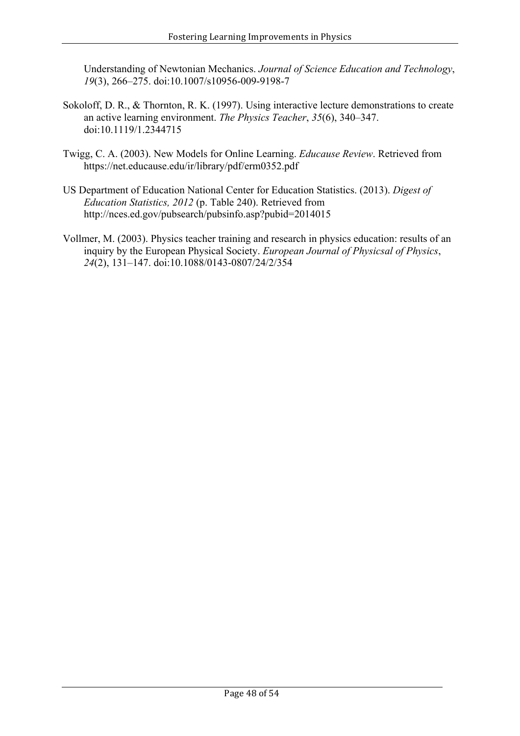Understanding of Newtonian Mechanics. *Journal of Science Education and Technology*, *19*(3), 266–275. doi:10.1007/s10956-009-9198-7

- Sokoloff, D. R., & Thornton, R. K. (1997). Using interactive lecture demonstrations to create an active learning environment. *The Physics Teacher*, *35*(6), 340–347. doi:10.1119/1.2344715
- Twigg, C. A. (2003). New Models for Online Learning. *Educause Review*. Retrieved from https://net.educause.edu/ir/library/pdf/erm0352.pdf
- US Department of Education National Center for Education Statistics. (2013). *Digest of Education Statistics, 2012* (p. Table 240). Retrieved from http://nces.ed.gov/pubsearch/pubsinfo.asp?pubid=2014015
- Vollmer, M. (2003). Physics teacher training and research in physics education: results of an inquiry by the European Physical Society. *European Journal of Physicsal of Physics*, *24*(2), 131–147. doi:10.1088/0143-0807/24/2/354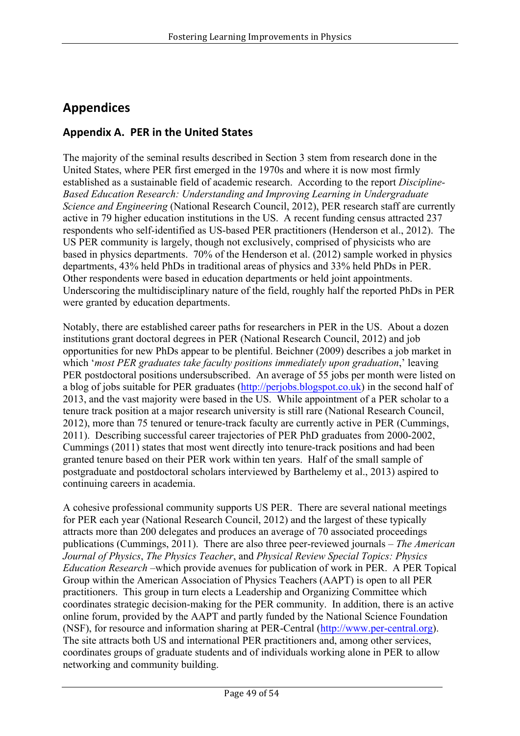# **Appendices**

## **Appendix A. PER in the United States**

The majority of the seminal results described in Section 3 stem from research done in the United States, where PER first emerged in the 1970s and where it is now most firmly established as a sustainable field of academic research. According to the report *Discipline-Based Education Research: Understanding and Improving Learning in Undergraduate Science and Engineering* (National Research Council, 2012), PER research staff are currently active in 79 higher education institutions in the US. A recent funding census attracted 237 respondents who self-identified as US-based PER practitioners (Henderson et al., 2012). The US PER community is largely, though not exclusively, comprised of physicists who are based in physics departments. 70% of the Henderson et al. (2012) sample worked in physics departments, 43% held PhDs in traditional areas of physics and 33% held PhDs in PER. Other respondents were based in education departments or held joint appointments. Underscoring the multidisciplinary nature of the field, roughly half the reported PhDs in PER were granted by education departments.

Notably, there are established career paths for researchers in PER in the US. About a dozen institutions grant doctoral degrees in PER (National Research Council, 2012) and job opportunities for new PhDs appear to be plentiful. Beichner (2009) describes a job market in which '*most PER graduates take faculty positions immediately upon graduation*,' leaving PER postdoctoral positions undersubscribed. An average of 55 jobs per month were listed on a blog of jobs suitable for PER graduates (http://perjobs.blogspot.co.uk) in the second half of 2013, and the vast majority were based in the US. While appointment of a PER scholar to a tenure track position at a major research university is still rare (National Research Council, 2012), more than 75 tenured or tenure-track faculty are currently active in PER (Cummings, 2011). Describing successful career trajectories of PER PhD graduates from 2000-2002, Cummings (2011) states that most went directly into tenure-track positions and had been granted tenure based on their PER work within ten years. Half of the small sample of postgraduate and postdoctoral scholars interviewed by Barthelemy et al., 2013) aspired to continuing careers in academia.

A cohesive professional community supports US PER. There are several national meetings for PER each year (National Research Council, 2012) and the largest of these typically attracts more than 200 delegates and produces an average of 70 associated proceedings publications (Cummings, 2011). There are also three peer-reviewed journals – *The American Journal of Physics*, *The Physics Teacher*, and *Physical Review Special Topics: Physics Education Research* –which provide avenues for publication of work in PER. A PER Topical Group within the American Association of Physics Teachers (AAPT) is open to all PER practitioners. This group in turn elects a Leadership and Organizing Committee which coordinates strategic decision-making for the PER community. In addition, there is an active online forum, provided by the AAPT and partly funded by the National Science Foundation (NSF), for resource and information sharing at PER-Central (http://www.per-central.org). The site attracts both US and international PER practitioners and, among other services, coordinates groups of graduate students and of individuals working alone in PER to allow networking and community building.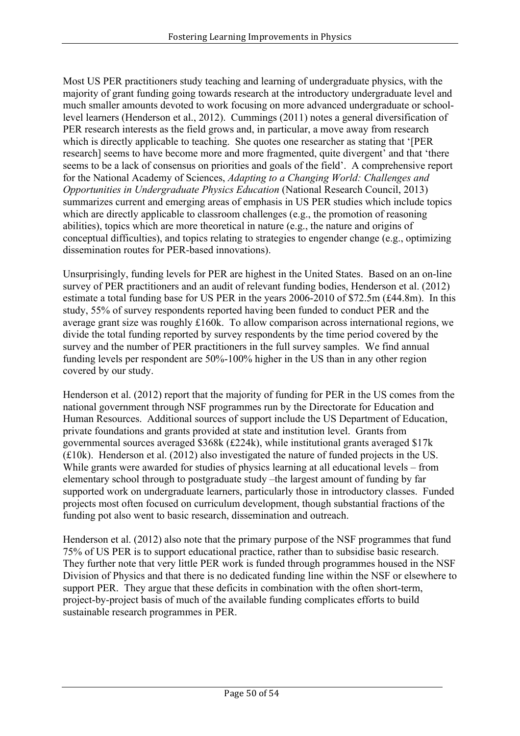Most US PER practitioners study teaching and learning of undergraduate physics, with the majority of grant funding going towards research at the introductory undergraduate level and much smaller amounts devoted to work focusing on more advanced undergraduate or schoollevel learners (Henderson et al., 2012). Cummings (2011) notes a general diversification of PER research interests as the field grows and, in particular, a move away from research which is directly applicable to teaching. She quotes one researcher as stating that '[PER] research] seems to have become more and more fragmented, quite divergent' and that 'there seems to be a lack of consensus on priorities and goals of the field'. A comprehensive report for the National Academy of Sciences, *Adapting to a Changing World: Challenges and Opportunities in Undergraduate Physics Education* (National Research Council, 2013) summarizes current and emerging areas of emphasis in US PER studies which include topics which are directly applicable to classroom challenges (e.g., the promotion of reasoning abilities), topics which are more theoretical in nature (e.g., the nature and origins of conceptual difficulties), and topics relating to strategies to engender change (e.g., optimizing dissemination routes for PER-based innovations).

Unsurprisingly, funding levels for PER are highest in the United States. Based on an on-line survey of PER practitioners and an audit of relevant funding bodies, Henderson et al. (2012) estimate a total funding base for US PER in the years 2006-2010 of \$72.5m (£44.8m). In this study, 55% of survey respondents reported having been funded to conduct PER and the average grant size was roughly £160k. To allow comparison across international regions, we divide the total funding reported by survey respondents by the time period covered by the survey and the number of PER practitioners in the full survey samples. We find annual funding levels per respondent are 50%-100% higher in the US than in any other region covered by our study.

Henderson et al. (2012) report that the majority of funding for PER in the US comes from the national government through NSF programmes run by the Directorate for Education and Human Resources. Additional sources of support include the US Department of Education, private foundations and grants provided at state and institution level. Grants from governmental sources averaged \$368k (£224k), while institutional grants averaged \$17k (£10k). Henderson et al. (2012) also investigated the nature of funded projects in the US. While grants were awarded for studies of physics learning at all educational levels – from elementary school through to postgraduate study –the largest amount of funding by far supported work on undergraduate learners, particularly those in introductory classes. Funded projects most often focused on curriculum development, though substantial fractions of the funding pot also went to basic research, dissemination and outreach.

Henderson et al. (2012) also note that the primary purpose of the NSF programmes that fund 75% of US PER is to support educational practice, rather than to subsidise basic research. They further note that very little PER work is funded through programmes housed in the NSF Division of Physics and that there is no dedicated funding line within the NSF or elsewhere to support PER. They argue that these deficits in combination with the often short-term, project-by-project basis of much of the available funding complicates efforts to build sustainable research programmes in PER.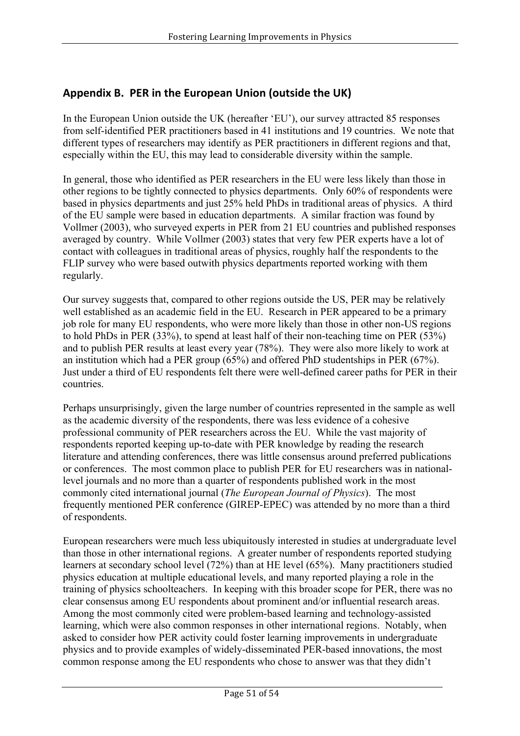## Appendix B. PER in the European Union (outside the UK)

In the European Union outside the UK (hereafter 'EU'), our survey attracted 85 responses from self-identified PER practitioners based in 41 institutions and 19 countries. We note that different types of researchers may identify as PER practitioners in different regions and that, especially within the EU, this may lead to considerable diversity within the sample.

In general, those who identified as PER researchers in the EU were less likely than those in other regions to be tightly connected to physics departments. Only 60% of respondents were based in physics departments and just 25% held PhDs in traditional areas of physics. A third of the EU sample were based in education departments. A similar fraction was found by Vollmer (2003), who surveyed experts in PER from 21 EU countries and published responses averaged by country. While Vollmer (2003) states that very few PER experts have a lot of contact with colleagues in traditional areas of physics, roughly half the respondents to the FLIP survey who were based outwith physics departments reported working with them regularly.

Our survey suggests that, compared to other regions outside the US, PER may be relatively well established as an academic field in the EU. Research in PER appeared to be a primary job role for many EU respondents, who were more likely than those in other non-US regions to hold PhDs in PER (33%), to spend at least half of their non-teaching time on PER (53%) and to publish PER results at least every year (78%). They were also more likely to work at an institution which had a PER group (65%) and offered PhD studentships in PER (67%). Just under a third of EU respondents felt there were well-defined career paths for PER in their countries.

Perhaps unsurprisingly, given the large number of countries represented in the sample as well as the academic diversity of the respondents, there was less evidence of a cohesive professional community of PER researchers across the EU. While the vast majority of respondents reported keeping up-to-date with PER knowledge by reading the research literature and attending conferences, there was little consensus around preferred publications or conferences. The most common place to publish PER for EU researchers was in nationallevel journals and no more than a quarter of respondents published work in the most commonly cited international journal (*The European Journal of Physics*). The most frequently mentioned PER conference (GIREP-EPEC) was attended by no more than a third of respondents.

European researchers were much less ubiquitously interested in studies at undergraduate level than those in other international regions. A greater number of respondents reported studying learners at secondary school level (72%) than at HE level (65%). Many practitioners studied physics education at multiple educational levels, and many reported playing a role in the training of physics schoolteachers. In keeping with this broader scope for PER, there was no clear consensus among EU respondents about prominent and/or influential research areas. Among the most commonly cited were problem-based learning and technology-assisted learning, which were also common responses in other international regions. Notably, when asked to consider how PER activity could foster learning improvements in undergraduate physics and to provide examples of widely-disseminated PER-based innovations, the most common response among the EU respondents who chose to answer was that they didn't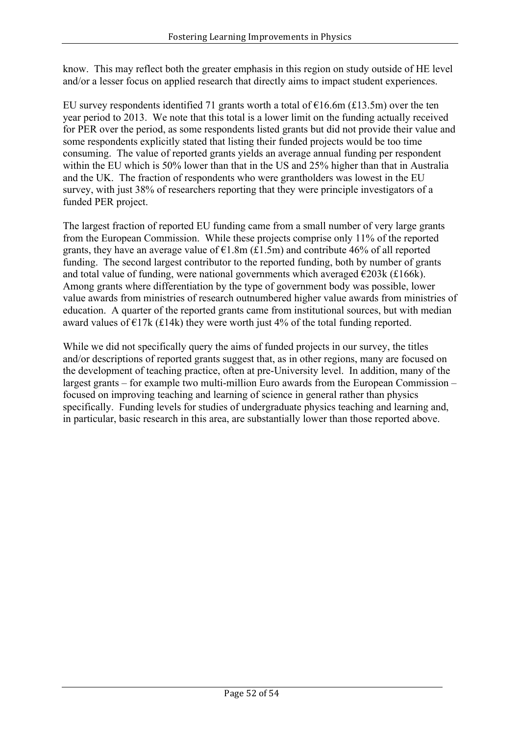know. This may reflect both the greater emphasis in this region on study outside of HE level and/or a lesser focus on applied research that directly aims to impact student experiences.

EU survey respondents identified 71 grants worth a total of  $\epsilon$ 16.6m (£13.5m) over the ten year period to 2013. We note that this total is a lower limit on the funding actually received for PER over the period, as some respondents listed grants but did not provide their value and some respondents explicitly stated that listing their funded projects would be too time consuming. The value of reported grants yields an average annual funding per respondent within the EU which is 50% lower than that in the US and 25% higher than that in Australia and the UK. The fraction of respondents who were grantholders was lowest in the EU survey, with just 38% of researchers reporting that they were principle investigators of a funded PER project.

The largest fraction of reported EU funding came from a small number of very large grants from the European Commission. While these projects comprise only 11% of the reported grants, they have an average value of  $\epsilon$ 1.8m (£1.5m) and contribute 46% of all reported funding. The second largest contributor to the reported funding, both by number of grants and total value of funding, were national governments which averaged  $\epsilon$ 203k (£166k). Among grants where differentiation by the type of government body was possible, lower value awards from ministries of research outnumbered higher value awards from ministries of education. A quarter of the reported grants came from institutional sources, but with median award values of  $\epsilon$ 17k (£14k) they were worth just 4% of the total funding reported.

While we did not specifically query the aims of funded projects in our survey, the titles and/or descriptions of reported grants suggest that, as in other regions, many are focused on the development of teaching practice, often at pre-University level. In addition, many of the largest grants – for example two multi-million Euro awards from the European Commission – focused on improving teaching and learning of science in general rather than physics specifically. Funding levels for studies of undergraduate physics teaching and learning and, in particular, basic research in this area, are substantially lower than those reported above.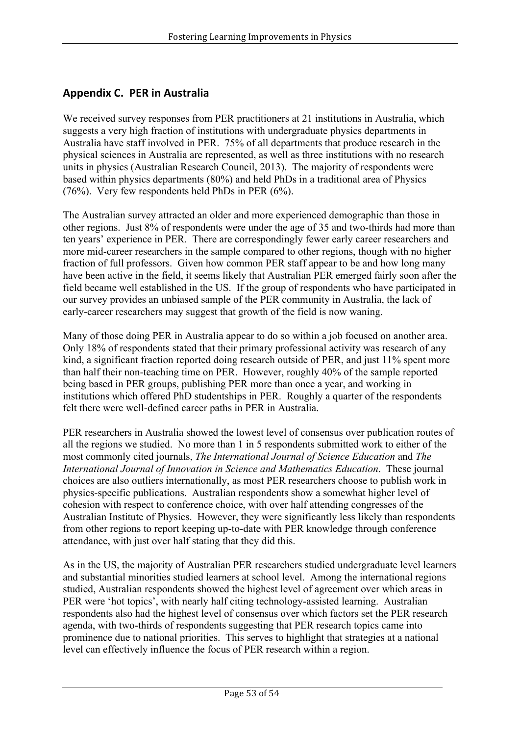## **Appendix C. PER in Australia**

We received survey responses from PER practitioners at 21 institutions in Australia, which suggests a very high fraction of institutions with undergraduate physics departments in Australia have staff involved in PER. 75% of all departments that produce research in the physical sciences in Australia are represented, as well as three institutions with no research units in physics (Australian Research Council, 2013). The majority of respondents were based within physics departments (80%) and held PhDs in a traditional area of Physics (76%). Very few respondents held PhDs in PER (6%).

The Australian survey attracted an older and more experienced demographic than those in other regions. Just 8% of respondents were under the age of 35 and two-thirds had more than ten years' experience in PER. There are correspondingly fewer early career researchers and more mid-career researchers in the sample compared to other regions, though with no higher fraction of full professors. Given how common PER staff appear to be and how long many have been active in the field, it seems likely that Australian PER emerged fairly soon after the field became well established in the US. If the group of respondents who have participated in our survey provides an unbiased sample of the PER community in Australia, the lack of early-career researchers may suggest that growth of the field is now waning.

Many of those doing PER in Australia appear to do so within a job focused on another area. Only 18% of respondents stated that their primary professional activity was research of any kind, a significant fraction reported doing research outside of PER, and just 11% spent more than half their non-teaching time on PER. However, roughly 40% of the sample reported being based in PER groups, publishing PER more than once a year, and working in institutions which offered PhD studentships in PER. Roughly a quarter of the respondents felt there were well-defined career paths in PER in Australia.

PER researchers in Australia showed the lowest level of consensus over publication routes of all the regions we studied. No more than 1 in 5 respondents submitted work to either of the most commonly cited journals, *The International Journal of Science Education* and *The International Journal of Innovation in Science and Mathematics Education*. These journal choices are also outliers internationally, as most PER researchers choose to publish work in physics-specific publications. Australian respondents show a somewhat higher level of cohesion with respect to conference choice, with over half attending congresses of the Australian Institute of Physics. However, they were significantly less likely than respondents from other regions to report keeping up-to-date with PER knowledge through conference attendance, with just over half stating that they did this.

As in the US, the majority of Australian PER researchers studied undergraduate level learners and substantial minorities studied learners at school level. Among the international regions studied, Australian respondents showed the highest level of agreement over which areas in PER were 'hot topics', with nearly half citing technology-assisted learning. Australian respondents also had the highest level of consensus over which factors set the PER research agenda, with two-thirds of respondents suggesting that PER research topics came into prominence due to national priorities. This serves to highlight that strategies at a national level can effectively influence the focus of PER research within a region.